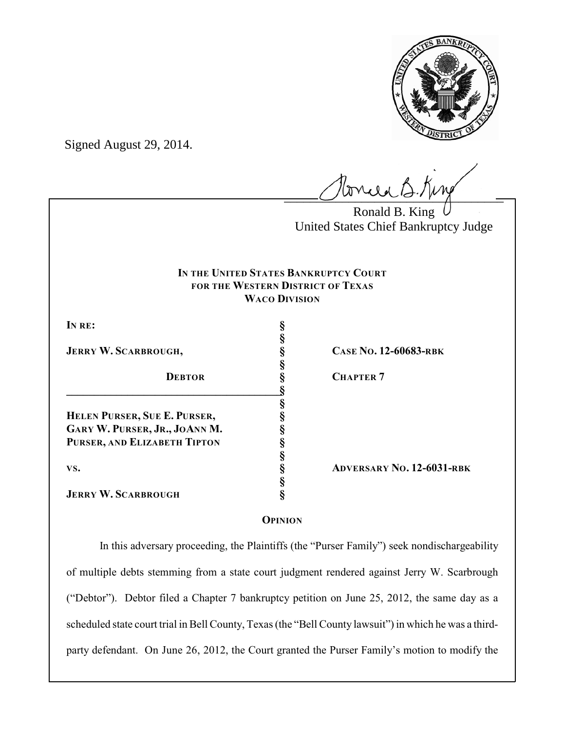

Signed August 29, 2014.

 $l$ onie B.Kin

Ronald B. King United States Chief Bankruptcy Judge

# **IN THE UNITED STATES BANKRUPTCY COURT FOR THE WESTERN DISTRICT OF TEXAS WACO DIVISION**

**§**

**§**

**§**

**§**

**§**

**IN RE: §**

**JERRY W. SCARBROUGH, § CASE NO. 12-60683-RBK**

**DEBTOR § CHAPTER 7 \_\_\_\_\_\_\_\_\_\_\_\_\_\_\_\_\_\_\_\_\_\_\_\_\_\_\_\_\_\_\_\_\_\_\_\_\_\_\_§ HELEN PURSER, SUE E. PURSER, § GARY W. PURSER, JR., JOANN M. § PURSER, AND ELIZABETH TIPTON §**

**JERRY W. SCARBROUGH §**

**VS. § ADVERSARY NO. 12-6031-RBK**

# **OPINION**

In this adversary proceeding, the Plaintiffs (the "Purser Family") seek nondischargeability of multiple debts stemming from a state court judgment rendered against Jerry W. Scarbrough ("Debtor"). Debtor filed a Chapter 7 bankruptcy petition on June 25, 2012, the same day as a scheduled state court trial in Bell County, Texas (the "Bell County lawsuit") in which he was a thirdparty defendant. On June 26, 2012, the Court granted the Purser Family's motion to modify the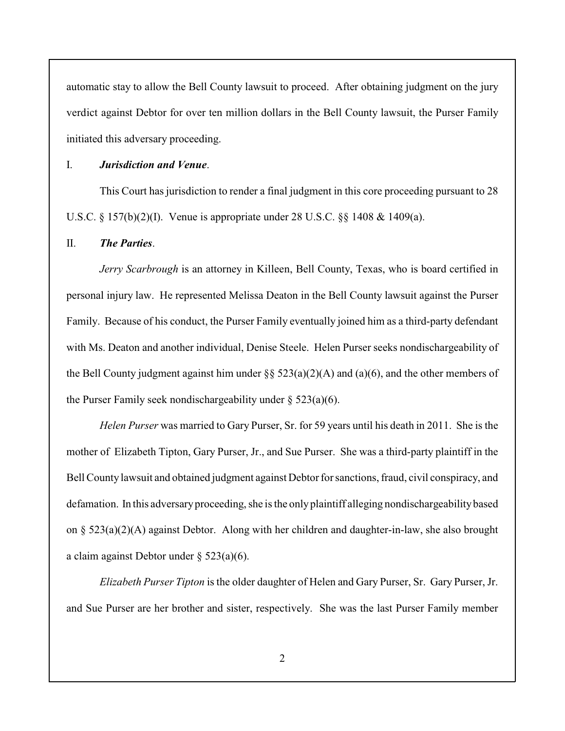automatic stay to allow the Bell County lawsuit to proceed. After obtaining judgment on the jury verdict against Debtor for over ten million dollars in the Bell County lawsuit, the Purser Family initiated this adversary proceeding.

### I. *Jurisdiction and Venue*.

This Court has jurisdiction to render a final judgment in this core proceeding pursuant to 28 U.S.C. § 157(b)(2)(I). Venue is appropriate under 28 U.S.C. §§ 1408 & 1409(a).

### II. *The Parties*.

*Jerry Scarbrough* is an attorney in Killeen, Bell County, Texas, who is board certified in personal injury law. He represented Melissa Deaton in the Bell County lawsuit against the Purser Family. Because of his conduct, the Purser Family eventually joined him as a third-party defendant with Ms. Deaton and another individual, Denise Steele. Helen Purser seeks nondischargeability of the Bell County judgment against him under  $\S$  523(a)(2)(A) and (a)(6), and the other members of the Purser Family seek nondischargeability under  $\S$  523(a)(6).

*Helen Purser* was married to Gary Purser, Sr. for 59 years until his death in 2011. She is the mother of Elizabeth Tipton, Gary Purser, Jr., and Sue Purser. She was a third-party plaintiff in the Bell County lawsuit and obtained judgment against Debtor for sanctions, fraud, civil conspiracy, and defamation. In this adversary proceeding, she is the only plaintiff alleging nondischargeability based on § 523(a)(2)(A) against Debtor. Along with her children and daughter-in-law, she also brought a claim against Debtor under § 523(a)(6).

*Elizabeth Purser Tipton* is the older daughter of Helen and Gary Purser, Sr. Gary Purser, Jr. and Sue Purser are her brother and sister, respectively. She was the last Purser Family member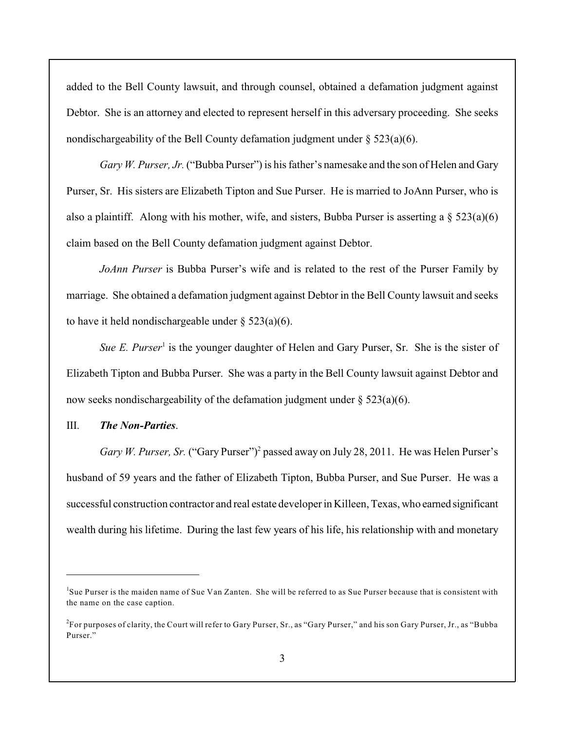added to the Bell County lawsuit, and through counsel, obtained a defamation judgment against Debtor. She is an attorney and elected to represent herself in this adversary proceeding. She seeks nondischargeability of the Bell County defamation judgment under  $\S 523(a)(6)$ .

*Gary W. Purser, Jr.* ("Bubba Purser") is his father's namesake and the son of Helen and Gary Purser, Sr. His sisters are Elizabeth Tipton and Sue Purser. He is married to JoAnn Purser, who is also a plaintiff. Along with his mother, wife, and sisters, Bubba Purser is asserting a  $\S 523(a)(6)$ claim based on the Bell County defamation judgment against Debtor.

*JoAnn Purser* is Bubba Purser's wife and is related to the rest of the Purser Family by marriage. She obtained a defamation judgment against Debtor in the Bell County lawsuit and seeks to have it held nondischargeable under  $\S$  523(a)(6).

*Sue E. Purser*<sup>1</sup> is the younger daughter of Helen and Gary Purser, Sr. She is the sister of Elizabeth Tipton and Bubba Purser. She was a party in the Bell County lawsuit against Debtor and now seeks nondischargeability of the defamation judgment under  $\S 523(a)(6)$ .

## III. *The Non-Parties*.

*Gary W. Purser, Sr.* ("Gary Purser")<sup>2</sup> passed away on July 28, 2011. He was Helen Purser's husband of 59 years and the father of Elizabeth Tipton, Bubba Purser, and Sue Purser. He was a successful construction contractor and real estate developer in Killeen, Texas, who earned significant wealth during his lifetime. During the last few years of his life, his relationship with and monetary

<sup>&</sup>lt;sup>1</sup>Sue Purser is the maiden name of Sue Van Zanten. She will be referred to as Sue Purser because that is consistent with the name on the case caption.

<sup>&</sup>lt;sup>2</sup>For purposes of clarity, the Court will refer to Gary Purser, Sr., as "Gary Purser," and his son Gary Purser, Jr., as "Bubba Purser."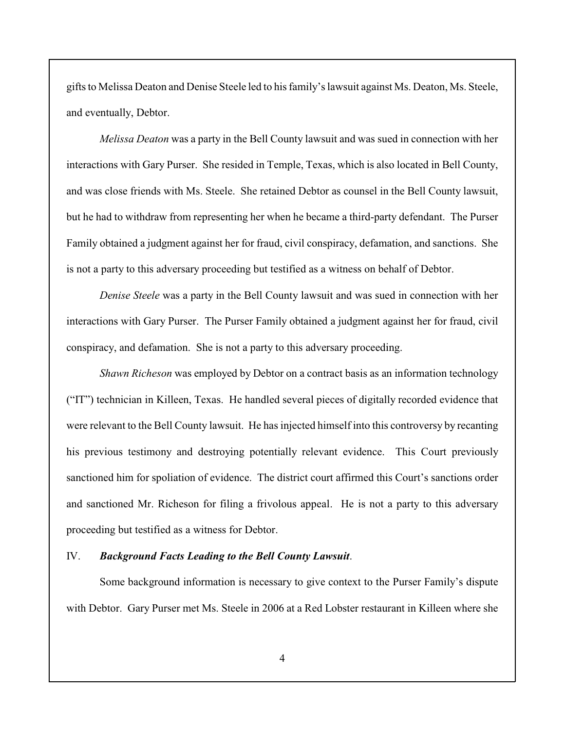gifts to Melissa Deaton and Denise Steele led to his family's lawsuit against Ms. Deaton, Ms. Steele, and eventually, Debtor.

*Melissa Deaton* was a party in the Bell County lawsuit and was sued in connection with her interactions with Gary Purser. She resided in Temple, Texas, which is also located in Bell County, and was close friends with Ms. Steele. She retained Debtor as counsel in the Bell County lawsuit, but he had to withdraw from representing her when he became a third-party defendant. The Purser Family obtained a judgment against her for fraud, civil conspiracy, defamation, and sanctions. She is not a party to this adversary proceeding but testified as a witness on behalf of Debtor.

*Denise Steele* was a party in the Bell County lawsuit and was sued in connection with her interactions with Gary Purser. The Purser Family obtained a judgment against her for fraud, civil conspiracy, and defamation. She is not a party to this adversary proceeding.

*Shawn Richeson* was employed by Debtor on a contract basis as an information technology ("IT") technician in Killeen, Texas. He handled several pieces of digitally recorded evidence that were relevant to the Bell County lawsuit. He has injected himself into this controversy by recanting his previous testimony and destroying potentially relevant evidence. This Court previously sanctioned him for spoliation of evidence. The district court affirmed this Court's sanctions order and sanctioned Mr. Richeson for filing a frivolous appeal. He is not a party to this adversary proceeding but testified as a witness for Debtor.

## IV. *Background Facts Leading to the Bell County Lawsuit*.

Some background information is necessary to give context to the Purser Family's dispute with Debtor. Gary Purser met Ms. Steele in 2006 at a Red Lobster restaurant in Killeen where she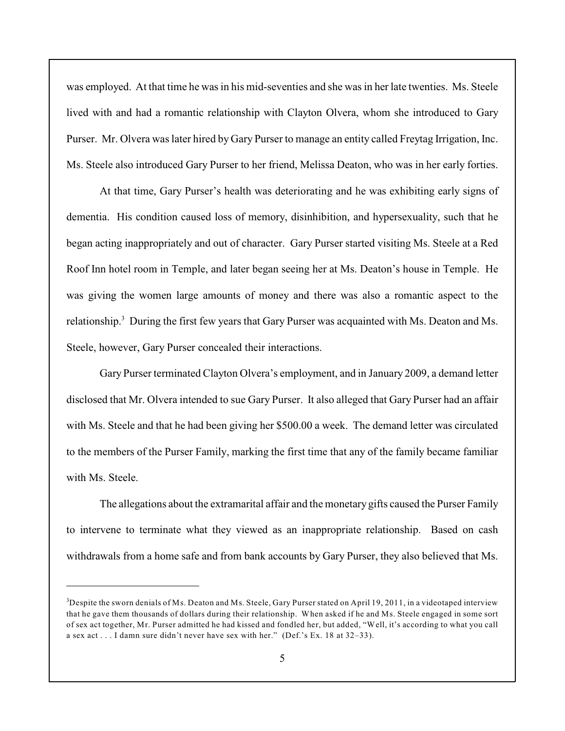was employed. At that time he was in his mid-seventies and she was in her late twenties. Ms. Steele lived with and had a romantic relationship with Clayton Olvera, whom she introduced to Gary Purser. Mr. Olvera was later hired by Gary Purser to manage an entity called Freytag Irrigation, Inc. Ms. Steele also introduced Gary Purser to her friend, Melissa Deaton, who was in her early forties.

At that time, Gary Purser's health was deteriorating and he was exhibiting early signs of dementia. His condition caused loss of memory, disinhibition, and hypersexuality, such that he began acting inappropriately and out of character. Gary Purser started visiting Ms. Steele at a Red Roof Inn hotel room in Temple, and later began seeing her at Ms. Deaton's house in Temple. He was giving the women large amounts of money and there was also a romantic aspect to the relationship.<sup>3</sup> During the first few years that Gary Purser was acquainted with Ms. Deaton and Ms. Steele, however, Gary Purser concealed their interactions.

Gary Purser terminated Clayton Olvera's employment, and in January 2009, a demand letter disclosed that Mr. Olvera intended to sue Gary Purser. It also alleged that Gary Purser had an affair with Ms. Steele and that he had been giving her \$500.00 a week. The demand letter was circulated to the members of the Purser Family, marking the first time that any of the family became familiar with Ms. Steele.

The allegations about the extramarital affair and the monetary gifts caused the Purser Family to intervene to terminate what they viewed as an inappropriate relationship. Based on cash withdrawals from a home safe and from bank accounts by Gary Purser, they also believed that Ms.

 $3$ Despite the sworn denials of Ms. Deaton and Ms. Steele, Gary Purser stated on April 19, 2011, in a videotaped interview that he gave them thousands of dollars during their relationship. When asked if he and Ms. Steele engaged in some sort of sex act together, Mr. Purser admitted he had kissed and fondled her, but added, "Well, it's according to what you call a sex act . . . I damn sure didn't never have sex with her." (Def.'s Ex. 18 at 32–33).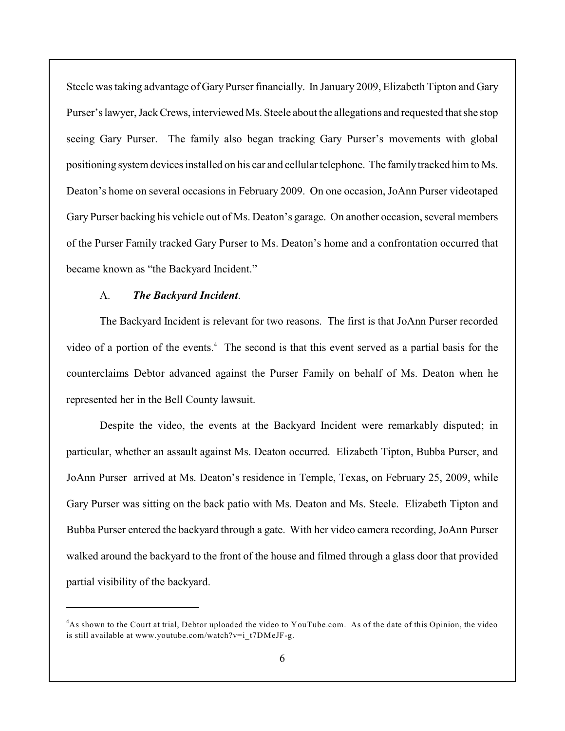Steele was taking advantage of Gary Purser financially. In January 2009, Elizabeth Tipton and Gary Purser's lawyer, Jack Crews, interviewed Ms. Steele about the allegations and requested that she stop seeing Gary Purser. The family also began tracking Gary Purser's movements with global positioning system devices installed on his car and cellular telephone. The familytracked him to Ms. Deaton's home on several occasions in February 2009. On one occasion, JoAnn Purser videotaped Gary Purser backing his vehicle out of Ms. Deaton's garage. On another occasion, several members of the Purser Family tracked Gary Purser to Ms. Deaton's home and a confrontation occurred that became known as "the Backyard Incident."

### A. *The Backyard Incident*.

The Backyard Incident is relevant for two reasons. The first is that JoAnn Purser recorded video of a portion of the events.<sup>4</sup> The second is that this event served as a partial basis for the counterclaims Debtor advanced against the Purser Family on behalf of Ms. Deaton when he represented her in the Bell County lawsuit.

Despite the video, the events at the Backyard Incident were remarkably disputed; in particular, whether an assault against Ms. Deaton occurred. Elizabeth Tipton, Bubba Purser, and JoAnn Purser arrived at Ms. Deaton's residence in Temple, Texas, on February 25, 2009, while Gary Purser was sitting on the back patio with Ms. Deaton and Ms. Steele. Elizabeth Tipton and Bubba Purser entered the backyard through a gate. With her video camera recording, JoAnn Purser walked around the backyard to the front of the house and filmed through a glass door that provided partial visibility of the backyard.

As shown to the Court at trial, Debtor uploaded the video to YouTube.com. As of the date of this Opinion, the video <sup>4</sup> is still available at www.youtube.com/watch?v=i\_t7DMeJF-g.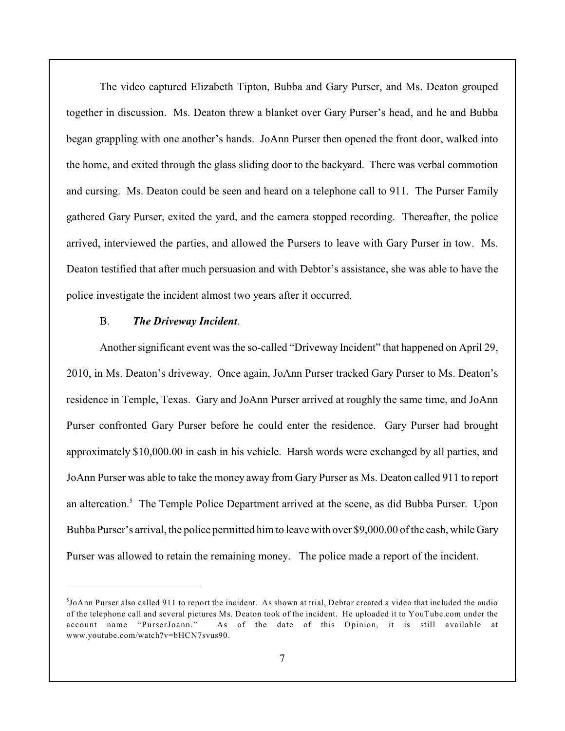The video captured Elizabeth Tipton, Bubba and Gary Purser, and Ms. Deaton grouped together in discussion. Ms. Deaton threw a blanket over Gary Purser's head, and he and Bubba began grappling with one another's hands. JoAnn Purser then opened the front door, walked into the home, and exited through the glass sliding door to the backyard. There was verbal commotion and cursing. Ms. Deaton could be seen and heard on a telephone call to 911. The Purser Family gathered Gary Purser, exited the yard, and the camera stopped recording. Thereafter, the police arrived, interviewed the parties, and allowed the Pursers to leave with Gary Purser in tow. Ms. Deaton testified that after much persuasion and with Debtor's assistance, she was able to have the police investigate the incident almost two years after it occurred.

# B. *The Driveway Incident*.

Another significant event was the so-called "Driveway Incident" that happened on April 29, 2010, in Ms. Deaton's driveway. Once again, JoAnn Purser tracked Gary Purser to Ms. Deaton's residence in Temple, Texas. Gary and JoAnn Purser arrived at roughly the same time, and JoAnn Purser confronted Gary Purser before he could enter the residence. Gary Purser had brought approximately \$10,000.00 in cash in his vehicle. Harsh words were exchanged by all parties, and JoAnn Purser was able to take the money away from Gary Purser as Ms. Deaton called 911 to report an altercation.<sup>5</sup> The Temple Police Department arrived at the scene, as did Bubba Purser. Upon Bubba Purser's arrival, the police permitted him to leave with over \$9,000.00 of the cash, while Gary Purser was allowed to retain the remaining money. The police made a report of the incident.

 $<sup>5</sup>$  JoAnn Purser also called 911 to report the incident. As shown at trial, Debtor created a video that included the audio</sup> of the telephone call and several pictures Ms. Deaton took of the incident. He uploaded it to YouTube.com under the account name "PurserJoann." As of the date of this Opinion, it is still available at www.youtube.com/watch?v=bHCN7svus90.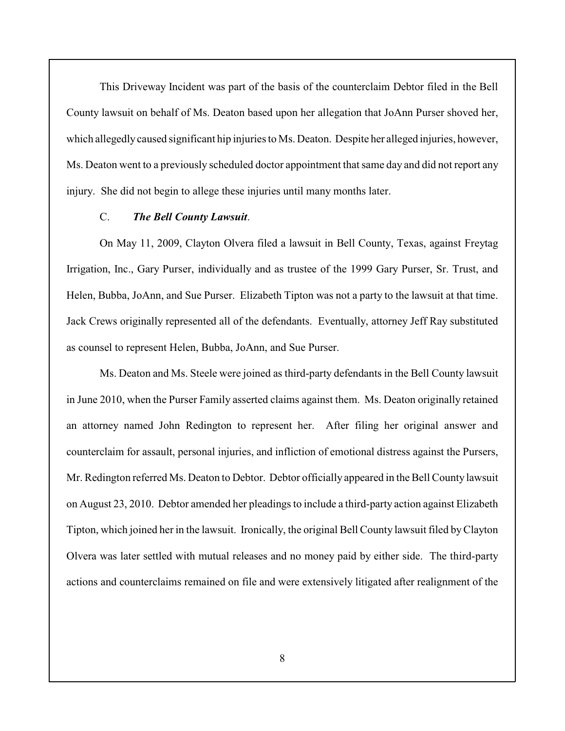This Driveway Incident was part of the basis of the counterclaim Debtor filed in the Bell County lawsuit on behalf of Ms. Deaton based upon her allegation that JoAnn Purser shoved her, which allegedly caused significant hip injuries to Ms. Deaton. Despite her alleged injuries, however, Ms. Deaton went to a previously scheduled doctor appointment that same day and did not report any injury. She did not begin to allege these injuries until many months later.

### C. *The Bell County Lawsuit*.

On May 11, 2009, Clayton Olvera filed a lawsuit in Bell County, Texas, against Freytag Irrigation, Inc., Gary Purser, individually and as trustee of the 1999 Gary Purser, Sr. Trust, and Helen, Bubba, JoAnn, and Sue Purser. Elizabeth Tipton was not a party to the lawsuit at that time. Jack Crews originally represented all of the defendants. Eventually, attorney Jeff Ray substituted as counsel to represent Helen, Bubba, JoAnn, and Sue Purser.

Ms. Deaton and Ms. Steele were joined as third-party defendants in the Bell County lawsuit in June 2010, when the Purser Family asserted claims against them. Ms. Deaton originally retained an attorney named John Redington to represent her. After filing her original answer and counterclaim for assault, personal injuries, and infliction of emotional distress against the Pursers, Mr. Redington referred Ms. Deaton to Debtor. Debtor officially appeared in the Bell County lawsuit on August 23, 2010. Debtor amended her pleadings to include a third-party action against Elizabeth Tipton, which joined her in the lawsuit. Ironically, the original Bell County lawsuit filed by Clayton Olvera was later settled with mutual releases and no money paid by either side. The third-party actions and counterclaims remained on file and were extensively litigated after realignment of the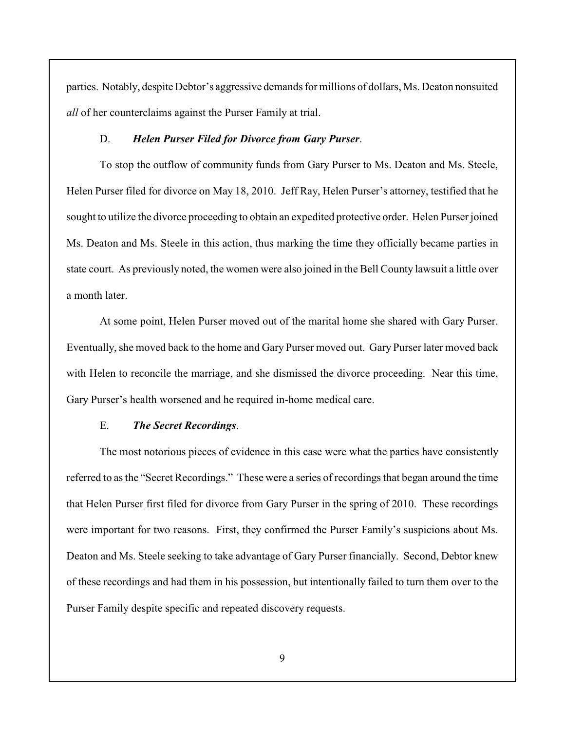parties. Notably, despite Debtor's aggressive demands for millions of dollars, Ms. Deaton nonsuited *all* of her counterclaims against the Purser Family at trial.

### D. *Helen Purser Filed for Divorce from Gary Purser*.

To stop the outflow of community funds from Gary Purser to Ms. Deaton and Ms. Steele, Helen Purser filed for divorce on May 18, 2010. Jeff Ray, Helen Purser's attorney, testified that he sought to utilize the divorce proceeding to obtain an expedited protective order. Helen Purser joined Ms. Deaton and Ms. Steele in this action, thus marking the time they officially became parties in state court. As previously noted, the women were also joined in the Bell County lawsuit a little over a month later.

At some point, Helen Purser moved out of the marital home she shared with Gary Purser. Eventually, she moved back to the home and Gary Purser moved out. Gary Purser later moved back with Helen to reconcile the marriage, and she dismissed the divorce proceeding. Near this time, Gary Purser's health worsened and he required in-home medical care.

#### E. *The Secret Recordings*.

The most notorious pieces of evidence in this case were what the parties have consistently referred to as the "Secret Recordings." These were a series of recordings that began around the time that Helen Purser first filed for divorce from Gary Purser in the spring of 2010. These recordings were important for two reasons. First, they confirmed the Purser Family's suspicions about Ms. Deaton and Ms. Steele seeking to take advantage of Gary Purser financially. Second, Debtor knew of these recordings and had them in his possession, but intentionally failed to turn them over to the Purser Family despite specific and repeated discovery requests.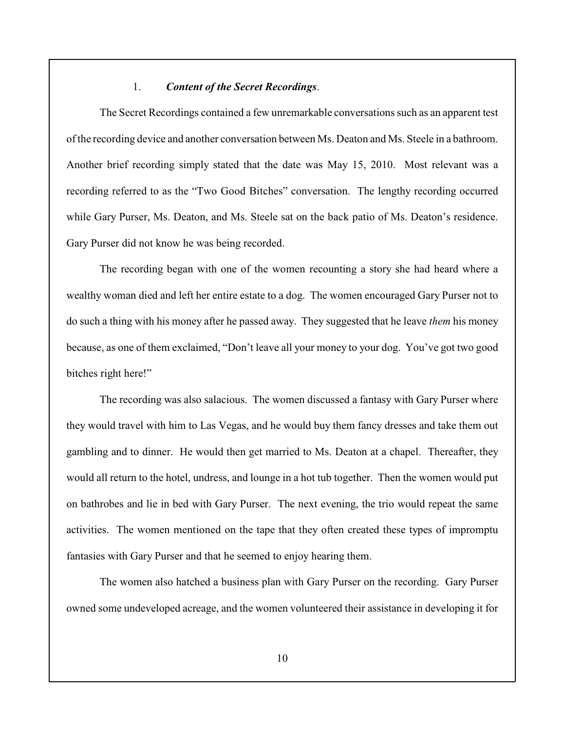## 1. *Content of the Secret Recordings*.

The Secret Recordings contained a few unremarkable conversationssuch as an apparent test of the recording device and another conversation between Ms. Deaton and Ms. Steele in a bathroom. Another brief recording simply stated that the date was May 15, 2010. Most relevant was a recording referred to as the "Two Good Bitches" conversation. The lengthy recording occurred while Gary Purser, Ms. Deaton, and Ms. Steele sat on the back patio of Ms. Deaton's residence. Gary Purser did not know he was being recorded.

The recording began with one of the women recounting a story she had heard where a wealthy woman died and left her entire estate to a dog. The women encouraged Gary Purser not to do such a thing with his money after he passed away. They suggested that he leave *them* his money because, as one of them exclaimed, "Don't leave all your money to your dog. You've got two good bitches right here!"

The recording was also salacious. The women discussed a fantasy with Gary Purser where they would travel with him to Las Vegas, and he would buy them fancy dresses and take them out gambling and to dinner. He would then get married to Ms. Deaton at a chapel. Thereafter, they would all return to the hotel, undress, and lounge in a hot tub together. Then the women would put on bathrobes and lie in bed with Gary Purser. The next evening, the trio would repeat the same activities. The women mentioned on the tape that they often created these types of impromptu fantasies with Gary Purser and that he seemed to enjoy hearing them.

The women also hatched a business plan with Gary Purser on the recording. Gary Purser owned some undeveloped acreage, and the women volunteered their assistance in developing it for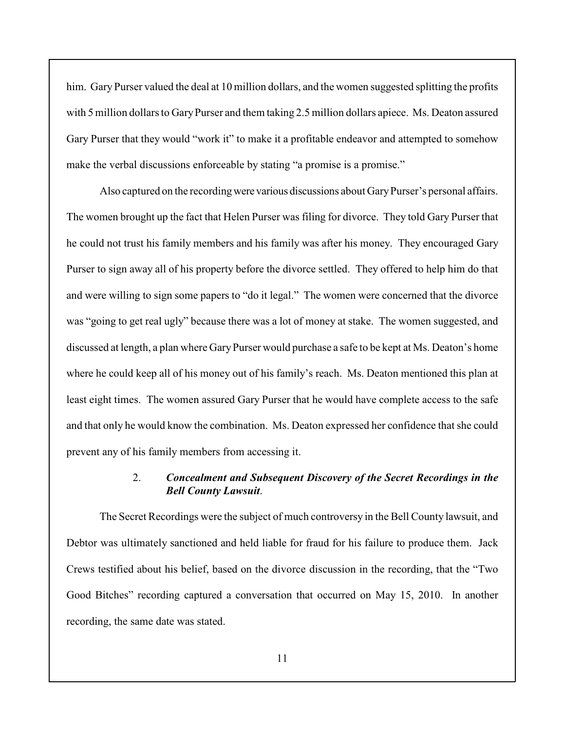him. Gary Purser valued the deal at 10 million dollars, and the women suggested splitting the profits with 5 million dollars to Gary Purser and them taking 2.5 million dollars apiece. Ms. Deaton assured Gary Purser that they would "work it" to make it a profitable endeavor and attempted to somehow make the verbal discussions enforceable by stating "a promise is a promise."

Also captured on the recording were various discussions about Gary Purser's personal affairs. The women brought up the fact that Helen Purser was filing for divorce. They told Gary Purser that he could not trust his family members and his family was after his money. They encouraged Gary Purser to sign away all of his property before the divorce settled. They offered to help him do that and were willing to sign some papers to "do it legal." The women were concerned that the divorce was "going to get real ugly" because there was a lot of money at stake. The women suggested, and discussed at length, a plan where Gary Purser would purchase a safe to be kept at Ms. Deaton's home where he could keep all of his money out of his family's reach. Ms. Deaton mentioned this plan at least eight times. The women assured Gary Purser that he would have complete access to the safe and that only he would know the combination. Ms. Deaton expressed her confidence that she could prevent any of his family members from accessing it.

# 2. *Concealment and Subsequent Discovery of the Secret Recordings in the Bell County Lawsuit*.

The Secret Recordings were the subject of much controversy in the Bell County lawsuit, and Debtor was ultimately sanctioned and held liable for fraud for his failure to produce them. Jack Crews testified about his belief, based on the divorce discussion in the recording, that the "Two Good Bitches" recording captured a conversation that occurred on May 15, 2010. In another recording, the same date was stated.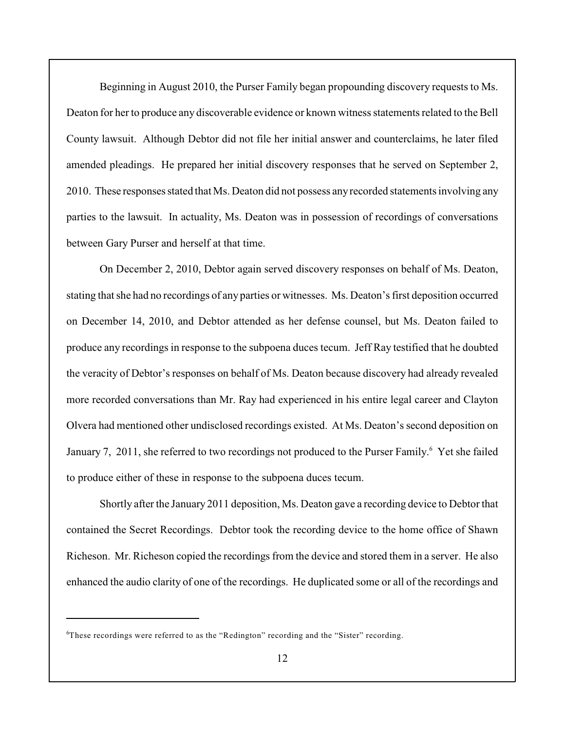Beginning in August 2010, the Purser Family began propounding discovery requests to Ms. Deaton for her to produce any discoverable evidence or known witness statements related to the Bell County lawsuit. Although Debtor did not file her initial answer and counterclaims, he later filed amended pleadings. He prepared her initial discovery responses that he served on September 2, 2010. These responses stated that Ms. Deaton did not possess any recorded statements involving any parties to the lawsuit. In actuality, Ms. Deaton was in possession of recordings of conversations between Gary Purser and herself at that time.

On December 2, 2010, Debtor again served discovery responses on behalf of Ms. Deaton, stating that she had no recordings of any parties or witnesses. Ms. Deaton's first deposition occurred on December 14, 2010, and Debtor attended as her defense counsel, but Ms. Deaton failed to produce any recordings in response to the subpoena duces tecum. Jeff Ray testified that he doubted the veracity of Debtor's responses on behalf of Ms. Deaton because discovery had already revealed more recorded conversations than Mr. Ray had experienced in his entire legal career and Clayton Olvera had mentioned other undisclosed recordings existed. At Ms. Deaton's second deposition on January 7, 2011, she referred to two recordings not produced to the Purser Family.<sup>6</sup> Yet she failed to produce either of these in response to the subpoena duces tecum.

Shortly after the January 2011 deposition, Ms. Deaton gave a recording device to Debtor that contained the Secret Recordings. Debtor took the recording device to the home office of Shawn Richeson. Mr. Richeson copied the recordings from the device and stored them in a server. He also enhanced the audio clarity of one of the recordings. He duplicated some or all of the recordings and

 ${}^6$ These recordings were referred to as the "Redington" recording and the "Sister" recording.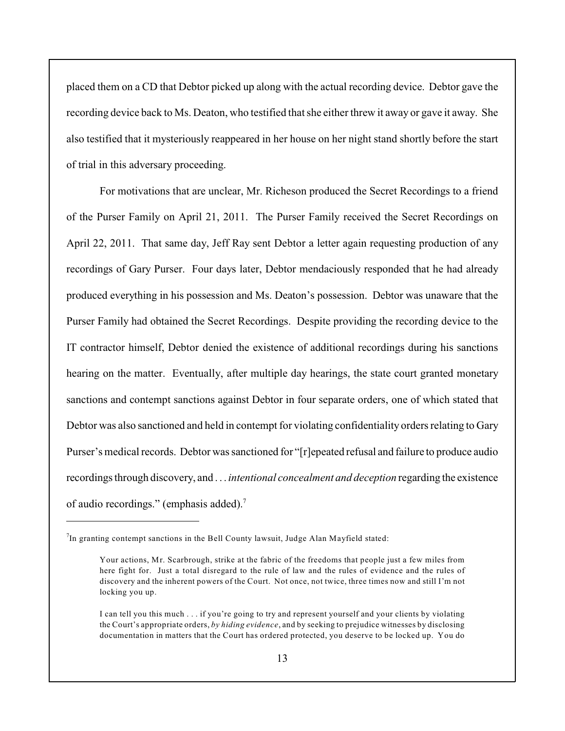placed them on a CD that Debtor picked up along with the actual recording device. Debtor gave the recording device back to Ms. Deaton, who testified that she either threw it away or gave it away. She also testified that it mysteriously reappeared in her house on her night stand shortly before the start of trial in this adversary proceeding.

For motivations that are unclear, Mr. Richeson produced the Secret Recordings to a friend of the Purser Family on April 21, 2011. The Purser Family received the Secret Recordings on April 22, 2011. That same day, Jeff Ray sent Debtor a letter again requesting production of any recordings of Gary Purser. Four days later, Debtor mendaciously responded that he had already produced everything in his possession and Ms. Deaton's possession. Debtor was unaware that the Purser Family had obtained the Secret Recordings. Despite providing the recording device to the IT contractor himself, Debtor denied the existence of additional recordings during his sanctions hearing on the matter. Eventually, after multiple day hearings, the state court granted monetary sanctions and contempt sanctions against Debtor in four separate orders, one of which stated that Debtor was also sanctioned and held in contempt for violating confidentiality orders relating to Gary Purser's medical records. Debtor was sanctioned for "[r]epeated refusal and failure to produce audio recordings through discovery, and . . . *intentional concealment and deception* regarding the existence of audio recordings." (emphasis added).<sup>7</sup>

 $I$ In granting contempt sanctions in the Bell County lawsuit, Judge Alan Mayfield stated:

Your actions, Mr. Scarbrough, strike at the fabric of the freedoms that people just a few miles from here fight for. Just a total disregard to the rule of law and the rules of evidence and the rules of discovery and the inherent powers of the Court. Not once, not twice, three times now and still I'm not locking you up.

I can tell you this much . . . if you're going to try and represent yourself and your clients by violating the Court's appropriate orders, *by hiding evidence*, and by seeking to prejudice witnesses by disclosing documentation in matters that the Court has ordered protected, you deserve to be locked up. You do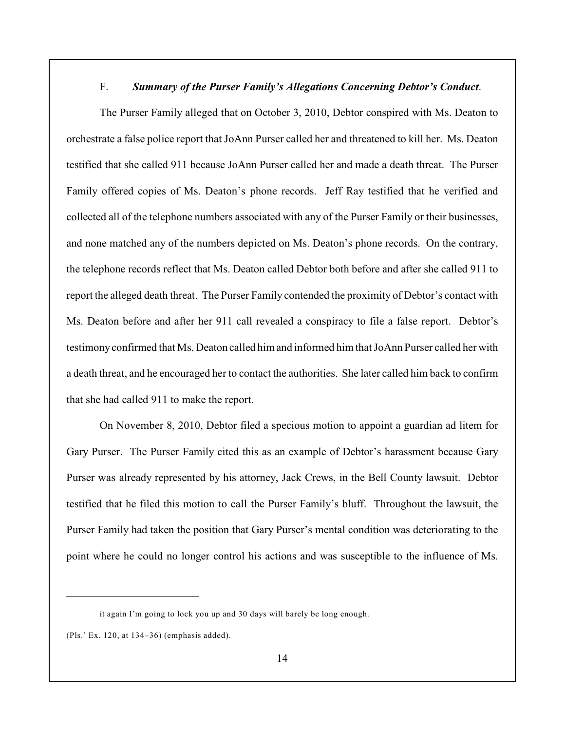# F. *Summary of the Purser Family's Allegations Concerning Debtor's Conduct*.

The Purser Family alleged that on October 3, 2010, Debtor conspired with Ms. Deaton to orchestrate a false police report that JoAnn Purser called her and threatened to kill her. Ms. Deaton testified that she called 911 because JoAnn Purser called her and made a death threat. The Purser Family offered copies of Ms. Deaton's phone records. Jeff Ray testified that he verified and collected all of the telephone numbers associated with any of the Purser Family or their businesses, and none matched any of the numbers depicted on Ms. Deaton's phone records. On the contrary, the telephone records reflect that Ms. Deaton called Debtor both before and after she called 911 to report the alleged death threat. The Purser Family contended the proximity of Debtor's contact with Ms. Deaton before and after her 911 call revealed a conspiracy to file a false report. Debtor's testimony confirmed that Ms. Deaton called himand informed him that JoAnn Purser called her with a death threat, and he encouraged her to contact the authorities. She later called him back to confirm that she had called 911 to make the report.

On November 8, 2010, Debtor filed a specious motion to appoint a guardian ad litem for Gary Purser. The Purser Family cited this as an example of Debtor's harassment because Gary Purser was already represented by his attorney, Jack Crews, in the Bell County lawsuit. Debtor testified that he filed this motion to call the Purser Family's bluff. Throughout the lawsuit, the Purser Family had taken the position that Gary Purser's mental condition was deteriorating to the point where he could no longer control his actions and was susceptible to the influence of Ms.

it again I'm going to lock you up and 30 days will barely be long enough.

<sup>(</sup>Pls.' Ex. 120, at 134–36) (emphasis added).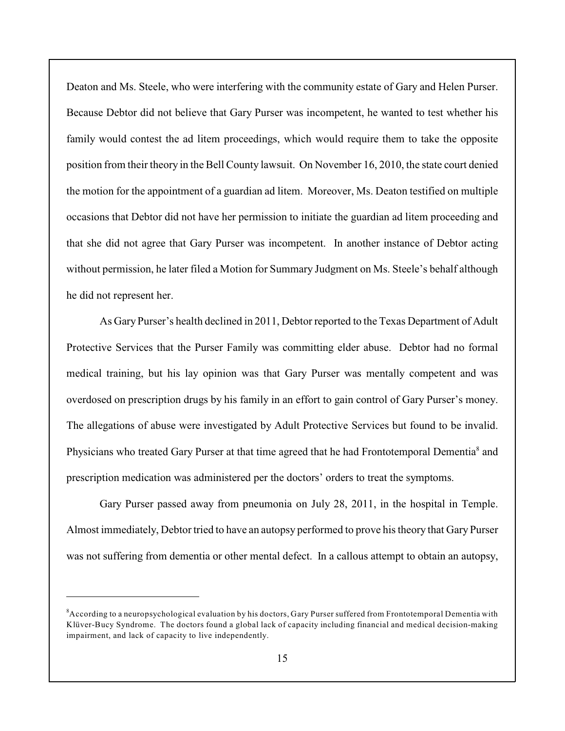Deaton and Ms. Steele, who were interfering with the community estate of Gary and Helen Purser. Because Debtor did not believe that Gary Purser was incompetent, he wanted to test whether his family would contest the ad litem proceedings, which would require them to take the opposite position from their theory in the Bell County lawsuit. On November 16, 2010, the state court denied the motion for the appointment of a guardian ad litem. Moreover, Ms. Deaton testified on multiple occasions that Debtor did not have her permission to initiate the guardian ad litem proceeding and that she did not agree that Gary Purser was incompetent. In another instance of Debtor acting without permission, he later filed a Motion for Summary Judgment on Ms. Steele's behalf although he did not represent her.

As Gary Purser's health declined in 2011, Debtor reported to the Texas Department of Adult Protective Services that the Purser Family was committing elder abuse. Debtor had no formal medical training, but his lay opinion was that Gary Purser was mentally competent and was overdosed on prescription drugs by his family in an effort to gain control of Gary Purser's money. The allegations of abuse were investigated by Adult Protective Services but found to be invalid. Physicians who treated Gary Purser at that time agreed that he had Frontotemporal Dementia<sup>8</sup> and prescription medication was administered per the doctors' orders to treat the symptoms.

Gary Purser passed away from pneumonia on July 28, 2011, in the hospital in Temple. Almost immediately, Debtor tried to have an autopsy performed to prove his theory that Gary Purser was not suffering from dementia or other mental defect. In a callous attempt to obtain an autopsy,

<sup>&</sup>lt;sup>8</sup> According to a neuropsychological evaluation by his doctors, Gary Purser suffered from Frontotemporal Dementia with Klüver-Bucy Syndrome. The doctors found a global lack of capacity including financial and medical decision-making impairment, and lack of capacity to live independently.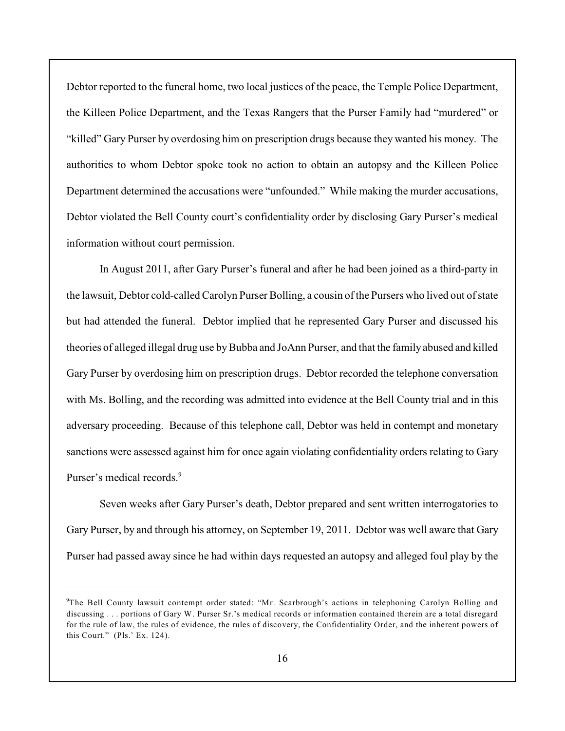Debtor reported to the funeral home, two local justices of the peace, the Temple Police Department, the Killeen Police Department, and the Texas Rangers that the Purser Family had "murdered" or "killed" Gary Purser by overdosing him on prescription drugs because they wanted his money. The authorities to whom Debtor spoke took no action to obtain an autopsy and the Killeen Police Department determined the accusations were "unfounded." While making the murder accusations, Debtor violated the Bell County court's confidentiality order by disclosing Gary Purser's medical information without court permission.

In August 2011, after Gary Purser's funeral and after he had been joined as a third-party in the lawsuit, Debtor cold-called Carolyn Purser Bolling, a cousin ofthe Pursers who lived out of state but had attended the funeral. Debtor implied that he represented Gary Purser and discussed his theories of alleged illegal drug use by Bubba and JoAnn Purser, and that the family abused and killed Gary Purser by overdosing him on prescription drugs. Debtor recorded the telephone conversation with Ms. Bolling, and the recording was admitted into evidence at the Bell County trial and in this adversary proceeding. Because of this telephone call, Debtor was held in contempt and monetary sanctions were assessed against him for once again violating confidentiality orders relating to Gary Purser's medical records.<sup>9</sup>

Seven weeks after Gary Purser's death, Debtor prepared and sent written interrogatories to Gary Purser, by and through his attorney, on September 19, 2011. Debtor was well aware that Gary Purser had passed away since he had within days requested an autopsy and alleged foul play by the

<sup>&</sup>lt;sup>9</sup>The Bell County lawsuit contempt order stated: "Mr. Scarbrough's actions in telephoning Carolyn Bolling and discussing . . . portions of Gary W. Purser Sr.'s medical records or information contained therein are a total disregard for the rule of law, the rules of evidence, the rules of discovery, the Confidentiality Order, and the inherent powers of this Court." (Pls.' Ex. 124).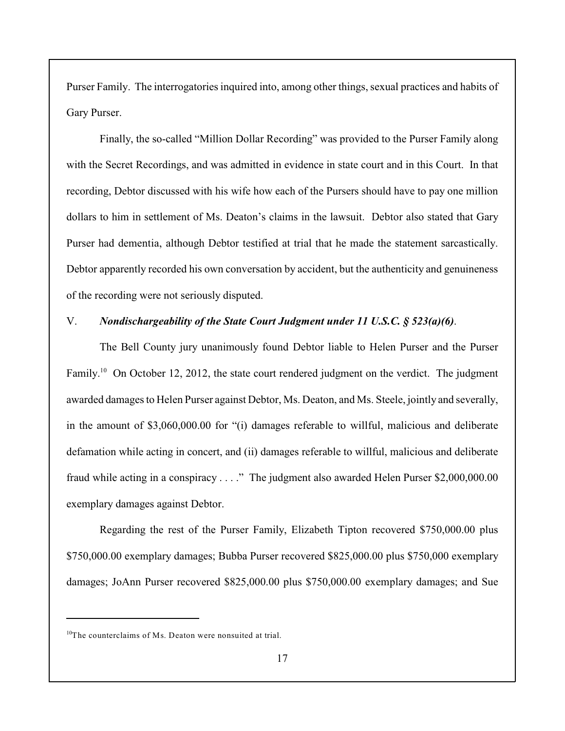Purser Family. The interrogatories inquired into, among other things, sexual practices and habits of Gary Purser.

Finally, the so-called "Million Dollar Recording" was provided to the Purser Family along with the Secret Recordings, and was admitted in evidence in state court and in this Court. In that recording, Debtor discussed with his wife how each of the Pursers should have to pay one million dollars to him in settlement of Ms. Deaton's claims in the lawsuit. Debtor also stated that Gary Purser had dementia, although Debtor testified at trial that he made the statement sarcastically. Debtor apparently recorded his own conversation by accident, but the authenticity and genuineness of the recording were not seriously disputed.

### V. *Nondischargeability of the State Court Judgment under 11 U.S.C. § 523(a)(6)*.

The Bell County jury unanimously found Debtor liable to Helen Purser and the Purser Family.<sup>10</sup> On October 12, 2012, the state court rendered judgment on the verdict. The judgment awarded damages to Helen Purser against Debtor, Ms. Deaton, and Ms. Steele, jointly and severally, in the amount of \$3,060,000.00 for "(i) damages referable to willful, malicious and deliberate defamation while acting in concert, and (ii) damages referable to willful, malicious and deliberate fraud while acting in a conspiracy . . . ." The judgment also awarded Helen Purser \$2,000,000.00 exemplary damages against Debtor.

Regarding the rest of the Purser Family, Elizabeth Tipton recovered \$750,000.00 plus \$750,000.00 exemplary damages; Bubba Purser recovered \$825,000.00 plus \$750,000 exemplary damages; JoAnn Purser recovered \$825,000.00 plus \$750,000.00 exemplary damages; and Sue

 $10$ <sup>10</sup>The counterclaims of Ms. Deaton were nonsuited at trial.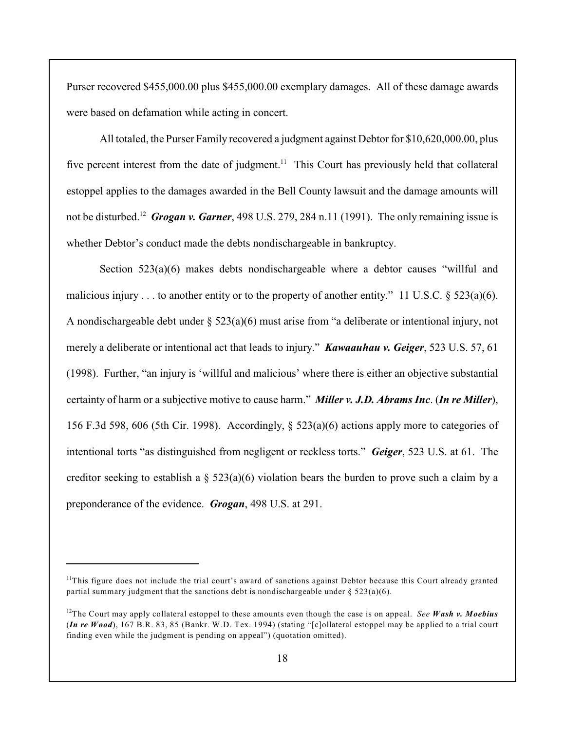Purser recovered \$455,000.00 plus \$455,000.00 exemplary damages. All of these damage awards were based on defamation while acting in concert.

All totaled, the Purser Family recovered a judgment against Debtor for \$10,620,000.00, plus five percent interest from the date of judgment.<sup>11</sup> This Court has previously held that collateral estoppel applies to the damages awarded in the Bell County lawsuit and the damage amounts will not be disturbed.<sup>12</sup> Grogan v. Garner, 498 U.S. 279, 284 n.11 (1991). The only remaining issue is whether Debtor's conduct made the debts nondischargeable in bankruptcy.

Section 523(a)(6) makes debts nondischargeable where a debtor causes "willful and malicious injury . . . to another entity or to the property of another entity." 11 U.S.C. § 523(a)(6). A nondischargeable debt under § 523(a)(6) must arise from "a deliberate or intentional injury, not merely a deliberate or intentional act that leads to injury." *Kawaauhau v. Geiger*, 523 U.S. 57, 61 (1998). Further, "an injury is 'willful and malicious' where there is either an objective substantial certainty of harm or a subjective motive to cause harm." *Miller v. J.D. Abrams Inc*. (*In re Miller*), 156 F.3d 598, 606 (5th Cir. 1998). Accordingly, § 523(a)(6) actions apply more to categories of intentional torts "as distinguished from negligent or reckless torts." *Geiger*, 523 U.S. at 61. The creditor seeking to establish a  $\S$  523(a)(6) violation bears the burden to prove such a claim by a preponderance of the evidence. *Grogan*, 498 U.S. at 291.

 $<sup>11</sup>$ This figure does not include the trial court's award of sanctions against Debtor because this Court already granted</sup> partial summary judgment that the sanctions debt is nondischargeable under  $\S 523(a)(6)$ .

<sup>&</sup>lt;sup>12</sup>The Court may apply collateral estoppel to these amounts even though the case is on appeal. *See Wash v. Moebius* (*In re Wood*), 167 B.R. 83, 85 (Bankr. W.D. Tex. 1994) (stating "[c]ollateral estoppel may be applied to a trial court finding even while the judgment is pending on appeal") (quotation omitted).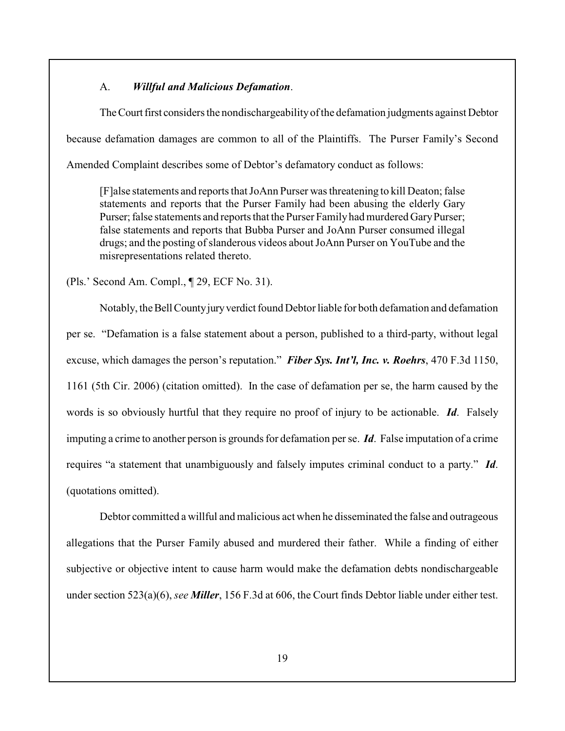## A. *Willful and Malicious Defamation*.

The Court first considers the nondischargeability of the defamation judgments against Debtor because defamation damages are common to all of the Plaintiffs. The Purser Family's Second Amended Complaint describes some of Debtor's defamatory conduct as follows:

[F]alse statements and reports that JoAnn Purser was threatening to kill Deaton; false statements and reports that the Purser Family had been abusing the elderly Gary Purser; false statements and reports that the Purser Family had murdered Gary Purser; false statements and reports that Bubba Purser and JoAnn Purser consumed illegal drugs; and the posting of slanderous videos about JoAnn Purser on YouTube and the misrepresentations related thereto.

(Pls.' Second Am. Compl., ¶ 29, ECF No. 31).

Notably, the Bell County jury verdict found Debtor liable for both defamation and defamation per se. "Defamation is a false statement about a person, published to a third-party, without legal excuse, which damages the person's reputation." *Fiber Sys. Int'l, Inc. v. Roehrs*, 470 F.3d 1150, 1161 (5th Cir. 2006) (citation omitted). In the case of defamation per se, the harm caused by the words is so obviously hurtful that they require no proof of injury to be actionable. *Id*. Falsely imputing a crime to another person is grounds for defamation per se. *Id*. False imputation of a crime requires "a statement that unambiguously and falsely imputes criminal conduct to a party." *Id*. (quotations omitted).

Debtor committed a willful and malicious act when he disseminated the false and outrageous allegations that the Purser Family abused and murdered their father. While a finding of either subjective or objective intent to cause harm would make the defamation debts nondischargeable under section 523(a)(6), *see Miller*, 156 F.3d at 606, the Court finds Debtor liable under either test.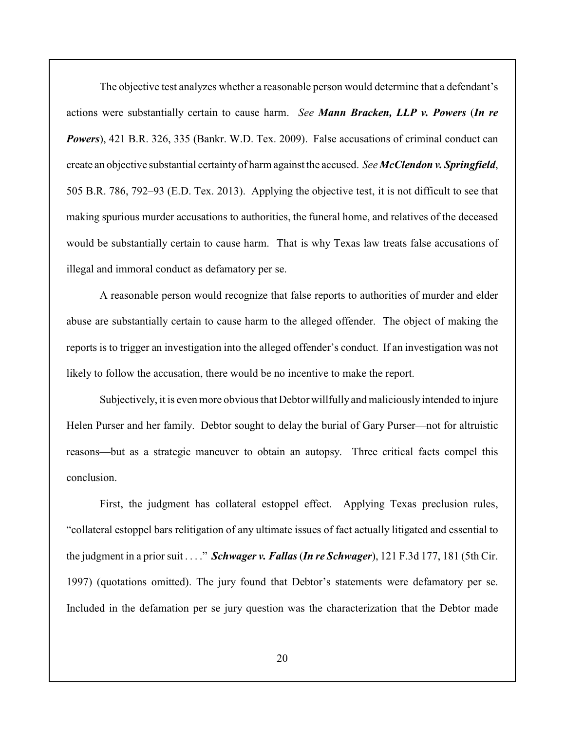The objective test analyzes whether a reasonable person would determine that a defendant's actions were substantially certain to cause harm. *See Mann Bracken, LLP v. Powers* (*In re Powers*), 421 B.R. 326, 335 (Bankr. W.D. Tex. 2009). False accusations of criminal conduct can create an objective substantial certainty of harm against the accused. *See McClendon v. Springfield*, 505 B.R. 786, 792–93 (E.D. Tex. 2013). Applying the objective test, it is not difficult to see that making spurious murder accusations to authorities, the funeral home, and relatives of the deceased would be substantially certain to cause harm. That is why Texas law treats false accusations of illegal and immoral conduct as defamatory per se.

A reasonable person would recognize that false reports to authorities of murder and elder abuse are substantially certain to cause harm to the alleged offender. The object of making the reports is to trigger an investigation into the alleged offender's conduct. If an investigation was not likely to follow the accusation, there would be no incentive to make the report.

Subjectively, it is even more obvious that Debtor willfully and maliciously intended to injure Helen Purser and her family. Debtor sought to delay the burial of Gary Purser—not for altruistic reasons—but as a strategic maneuver to obtain an autopsy. Three critical facts compel this conclusion.

First, the judgment has collateral estoppel effect. Applying Texas preclusion rules, "collateral estoppel bars relitigation of any ultimate issues of fact actually litigated and essential to the judgment in a prior suit . . . ." *Schwager v. Fallas* (*In re Schwager*), 121 F.3d 177, 181 (5th Cir. 1997) (quotations omitted). The jury found that Debtor's statements were defamatory per se. Included in the defamation per se jury question was the characterization that the Debtor made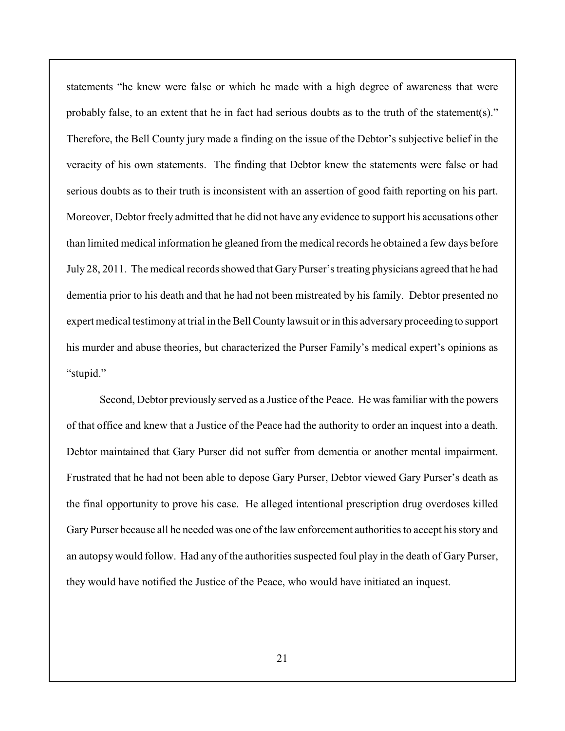statements "he knew were false or which he made with a high degree of awareness that were probably false, to an extent that he in fact had serious doubts as to the truth of the statement(s)." Therefore, the Bell County jury made a finding on the issue of the Debtor's subjective belief in the veracity of his own statements. The finding that Debtor knew the statements were false or had serious doubts as to their truth is inconsistent with an assertion of good faith reporting on his part. Moreover, Debtor freely admitted that he did not have any evidence to support his accusations other than limited medical information he gleaned from the medical records he obtained a few days before July 28, 2011. The medical records showed that GaryPurser's treating physicians agreed that he had dementia prior to his death and that he had not been mistreated by his family. Debtor presented no expert medical testimony at trial in the Bell County lawsuit or in this adversary proceeding to support his murder and abuse theories, but characterized the Purser Family's medical expert's opinions as "stupid."

Second, Debtor previously served as a Justice of the Peace. He was familiar with the powers of that office and knew that a Justice of the Peace had the authority to order an inquest into a death. Debtor maintained that Gary Purser did not suffer from dementia or another mental impairment. Frustrated that he had not been able to depose Gary Purser, Debtor viewed Gary Purser's death as the final opportunity to prove his case. He alleged intentional prescription drug overdoses killed Gary Purser because all he needed was one of the law enforcement authorities to accept his story and an autopsy would follow. Had any of the authorities suspected foul play in the death of Gary Purser, they would have notified the Justice of the Peace, who would have initiated an inquest.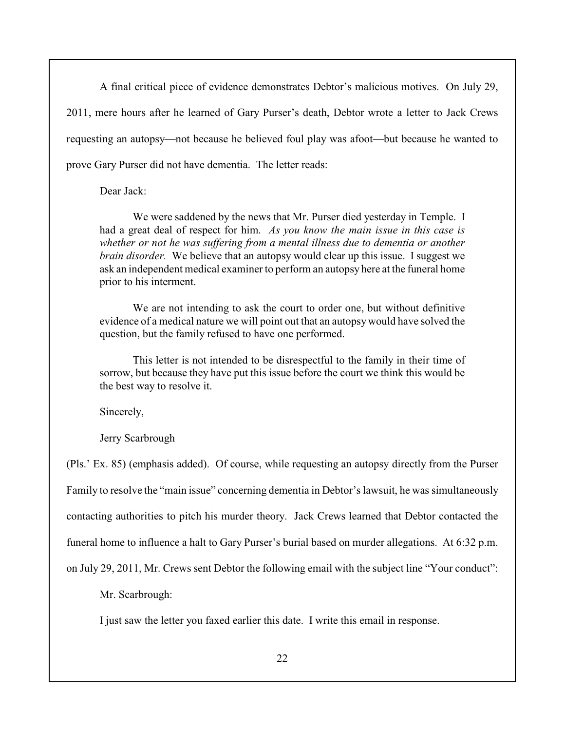A final critical piece of evidence demonstrates Debtor's malicious motives. On July 29, 2011, mere hours after he learned of Gary Purser's death, Debtor wrote a letter to Jack Crews requesting an autopsy—not because he believed foul play was afoot—but because he wanted to prove Gary Purser did not have dementia. The letter reads:

### Dear Jack:

We were saddened by the news that Mr. Purser died yesterday in Temple. I had a great deal of respect for him. *As you know the main issue in this case is whether or not he was suffering from a mental illness due to dementia or another brain disorder.* We believe that an autopsy would clear up this issue. I suggest we ask an independent medical examiner to perform an autopsy here at the funeral home prior to his interment.

We are not intending to ask the court to order one, but without definitive evidence of a medical nature we will point out that an autopsy would have solved the question, but the family refused to have one performed.

This letter is not intended to be disrespectful to the family in their time of sorrow, but because they have put this issue before the court we think this would be the best way to resolve it.

Sincerely,

Jerry Scarbrough

(Pls.' Ex. 85) (emphasis added). Of course, while requesting an autopsy directly from the Purser Family to resolve the "main issue" concerning dementia in Debtor's lawsuit, he was simultaneously contacting authorities to pitch his murder theory. Jack Crews learned that Debtor contacted the funeral home to influence a halt to Gary Purser's burial based on murder allegations. At 6:32 p.m. on July 29, 2011, Mr. Crews sent Debtor the following email with the subject line "Your conduct":

Mr. Scarbrough:

I just saw the letter you faxed earlier this date. I write this email in response.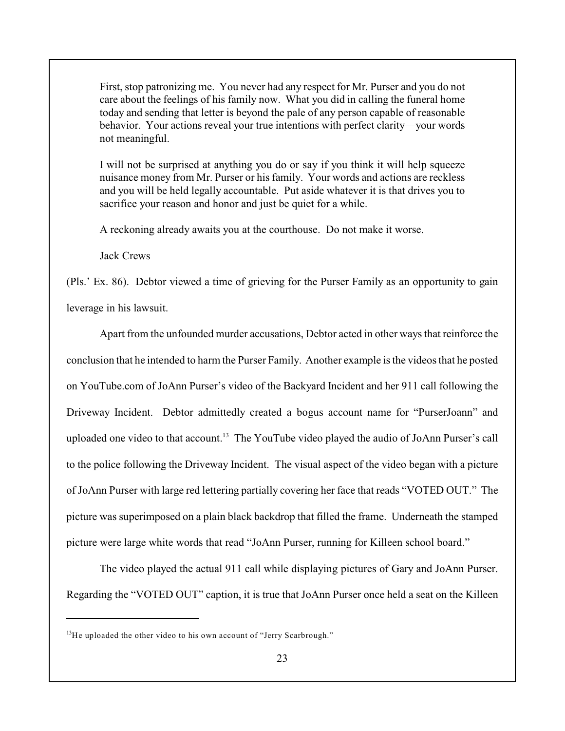First, stop patronizing me. You never had any respect for Mr. Purser and you do not care about the feelings of his family now. What you did in calling the funeral home today and sending that letter is beyond the pale of any person capable of reasonable behavior. Your actions reveal your true intentions with perfect clarity—your words not meaningful.

I will not be surprised at anything you do or say if you think it will help squeeze nuisance money from Mr. Purser or hisfamily. Your words and actions are reckless and you will be held legally accountable. Put aside whatever it is that drives you to sacrifice your reason and honor and just be quiet for a while.

A reckoning already awaits you at the courthouse. Do not make it worse.

Jack Crews

(Pls.' Ex. 86). Debtor viewed a time of grieving for the Purser Family as an opportunity to gain leverage in his lawsuit.

Apart from the unfounded murder accusations, Debtor acted in other ways that reinforce the conclusion that he intended to harm the Purser Family. Another example is the videos that he posted on YouTube.com of JoAnn Purser's video of the Backyard Incident and her 911 call following the Driveway Incident. Debtor admittedly created a bogus account name for "PurserJoann" and uploaded one video to that account.<sup>13</sup> The YouTube video played the audio of JoAnn Purser's call to the police following the Driveway Incident. The visual aspect of the video began with a picture of JoAnn Purser with large red lettering partially covering her face that reads "VOTED OUT." The picture was superimposed on a plain black backdrop that filled the frame. Underneath the stamped picture were large white words that read "JoAnn Purser, running for Killeen school board."

The video played the actual 911 call while displaying pictures of Gary and JoAnn Purser. Regarding the "VOTED OUT" caption, it is true that JoAnn Purser once held a seat on the Killeen

 $13$ He uploaded the other video to his own account of "Jerry Scarbrough."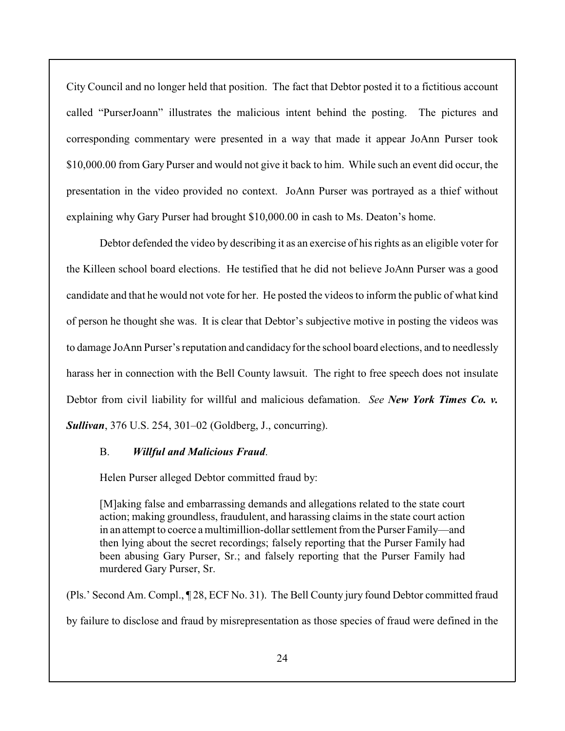City Council and no longer held that position. The fact that Debtor posted it to a fictitious account called "PurserJoann" illustrates the malicious intent behind the posting. The pictures and corresponding commentary were presented in a way that made it appear JoAnn Purser took \$10,000.00 from Gary Purser and would not give it back to him. While such an event did occur, the presentation in the video provided no context. JoAnn Purser was portrayed as a thief without explaining why Gary Purser had brought \$10,000.00 in cash to Ms. Deaton's home.

Debtor defended the video by describing it as an exercise of his rights as an eligible voter for the Killeen school board elections. He testified that he did not believe JoAnn Purser was a good candidate and that he would not vote for her. He posted the videos to inform the public of what kind of person he thought she was. It is clear that Debtor's subjective motive in posting the videos was to damage JoAnn Purser's reputation and candidacy for the school board elections, and to needlessly harass her in connection with the Bell County lawsuit. The right to free speech does not insulate Debtor from civil liability for willful and malicious defamation. *See New York Times Co. v. Sullivan*, 376 U.S. 254, 301–02 (Goldberg, J., concurring).

# B. *Willful and Malicious Fraud*.

Helen Purser alleged Debtor committed fraud by:

[M]aking false and embarrassing demands and allegations related to the state court action; making groundless, fraudulent, and harassing claims in the state court action in an attempt to coerce a multimillion-dollar settlement from the Purser Family—and then lying about the secret recordings; falsely reporting that the Purser Family had been abusing Gary Purser, Sr.; and falsely reporting that the Purser Family had murdered Gary Purser, Sr.

(Pls.' Second Am. Compl., ¶ 28, ECF No. 31). The Bell County jury found Debtor committed fraud

by failure to disclose and fraud by misrepresentation as those species of fraud were defined in the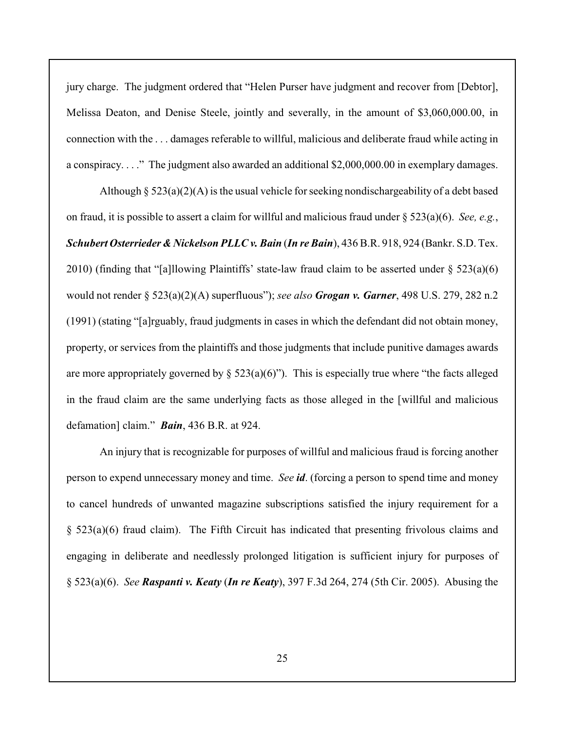jury charge. The judgment ordered that "Helen Purser have judgment and recover from [Debtor], Melissa Deaton, and Denise Steele, jointly and severally, in the amount of \$3,060,000.00, in connection with the . . . damages referable to willful, malicious and deliberate fraud while acting in a conspiracy. . . ." The judgment also awarded an additional \$2,000,000.00 in exemplary damages.

Although  $\S$  523(a)(2)(A) is the usual vehicle for seeking nondischargeability of a debt based on fraud, it is possible to assert a claim for willful and malicious fraud under § 523(a)(6). *See, e.g.*, *Schubert Osterrieder & Nickelson PLLC v. Bain* (*In re Bain*), 436 B.R. 918, 924 (Bankr. S.D. Tex. 2010) (finding that "[a]llowing Plaintiffs' state-law fraud claim to be asserted under § 523(a)(6) would not render § 523(a)(2)(A) superfluous"); *see also Grogan v. Garner*, 498 U.S. 279, 282 n.2 (1991) (stating "[a]rguably, fraud judgments in cases in which the defendant did not obtain money, property, or services from the plaintiffs and those judgments that include punitive damages awards are more appropriately governed by  $\S$  523(a)(6)"). This is especially true where "the facts alleged in the fraud claim are the same underlying facts as those alleged in the [willful and malicious defamation] claim." *Bain*, 436 B.R. at 924.

An injury that is recognizable for purposes of willful and malicious fraud is forcing another person to expend unnecessary money and time. *See id*. (forcing a person to spend time and money to cancel hundreds of unwanted magazine subscriptions satisfied the injury requirement for a § 523(a)(6) fraud claim). The Fifth Circuit has indicated that presenting frivolous claims and engaging in deliberate and needlessly prolonged litigation is sufficient injury for purposes of § 523(a)(6). *See Raspanti v. Keaty* (*In re Keaty*), 397 F.3d 264, 274 (5th Cir. 2005). Abusing the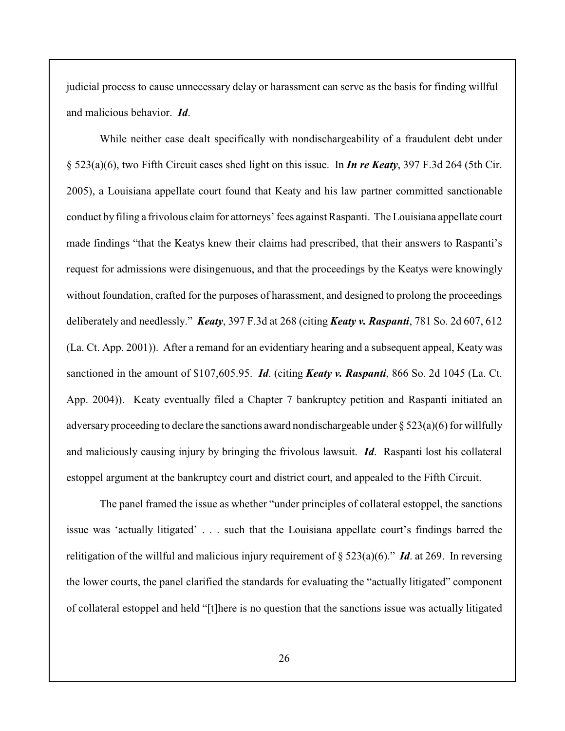judicial process to cause unnecessary delay or harassment can serve as the basis for finding willful and malicious behavior. *Id*.

While neither case dealt specifically with nondischargeability of a fraudulent debt under § 523(a)(6), two Fifth Circuit cases shed light on this issue. In *In re Keaty*, 397 F.3d 264 (5th Cir. 2005), a Louisiana appellate court found that Keaty and his law partner committed sanctionable conduct by filing a frivolous claim for attorneys' fees against Raspanti. The Louisiana appellate court made findings "that the Keatys knew their claims had prescribed, that their answers to Raspanti's request for admissions were disingenuous, and that the proceedings by the Keatys were knowingly without foundation, crafted for the purposes of harassment, and designed to prolong the proceedings deliberately and needlessly." *Keaty*, 397 F.3d at 268 (citing *Keaty v. Raspanti*, 781 So. 2d 607, 612 (La. Ct. App. 2001)). After a remand for an evidentiary hearing and a subsequent appeal, Keaty was sanctioned in the amount of \$107,605.95. *Id*. (citing *Keaty v. Raspanti*, 866 So. 2d 1045 (La. Ct. App. 2004)). Keaty eventually filed a Chapter 7 bankruptcy petition and Raspanti initiated an adversary proceeding to declare the sanctions award nondischargeable under  $\S 523(a)(6)$  for willfully and maliciously causing injury by bringing the frivolous lawsuit. *Id*. Raspanti lost his collateral estoppel argument at the bankruptcy court and district court, and appealed to the Fifth Circuit.

The panel framed the issue as whether "under principles of collateral estoppel, the sanctions issue was 'actually litigated' . . . such that the Louisiana appellate court's findings barred the relitigation of the willful and malicious injury requirement of § 523(a)(6)." *Id*. at 269. In reversing the lower courts, the panel clarified the standards for evaluating the "actually litigated" component of collateral estoppel and held "[t]here is no question that the sanctions issue was actually litigated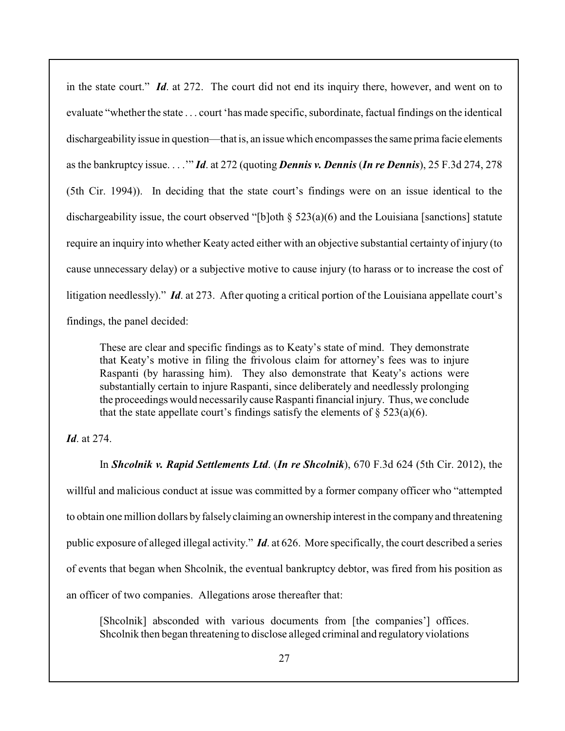in the state court." *Id*. at 272. The court did not end its inquiry there, however, and went on to evaluate "whether the state . . . court 'has made specific, subordinate, factual findings on the identical dischargeability issue in question—that is, an issue which encompasses the same prima facie elements as the bankruptcy issue. . . .'" *Id*. at 272 (quoting *Dennis v. Dennis* (*In re Dennis*), 25 F.3d 274, 278 (5th Cir. 1994)). In deciding that the state court's findings were on an issue identical to the dischargeability issue, the court observed "[b]oth § 523(a)(6) and the Louisiana [sanctions] statute require an inquiry into whether Keaty acted either with an objective substantial certainty of injury (to cause unnecessary delay) or a subjective motive to cause injury (to harass or to increase the cost of litigation needlessly)." *Id*. at 273. After quoting a critical portion of the Louisiana appellate court's findings, the panel decided:

These are clear and specific findings as to Keaty's state of mind. They demonstrate that Keaty's motive in filing the frivolous claim for attorney's fees was to injure Raspanti (by harassing him). They also demonstrate that Keaty's actions were substantially certain to injure Raspanti, since deliberately and needlessly prolonging the proceedings would necessarily cause Raspanti financial injury. Thus, we conclude that the state appellate court's findings satisfy the elements of  $\S 523(a)(6)$ .

# *Id*. at 274.

In *Shcolnik v. Rapid Settlements Ltd*. (*In re Shcolnik*), 670 F.3d 624 (5th Cir. 2012), the willful and malicious conduct at issue was committed by a former company officer who "attempted to obtain one million dollars byfalselyclaiming an ownership interest in the company and threatening public exposure of alleged illegal activity." *Id*. at 626. More specifically, the court described a series of events that began when Shcolnik, the eventual bankruptcy debtor, was fired from his position as an officer of two companies. Allegations arose thereafter that:

[Shcolnik] absconded with various documents from [the companies'] offices. Shcolnik then began threatening to disclose alleged criminal and regulatory violations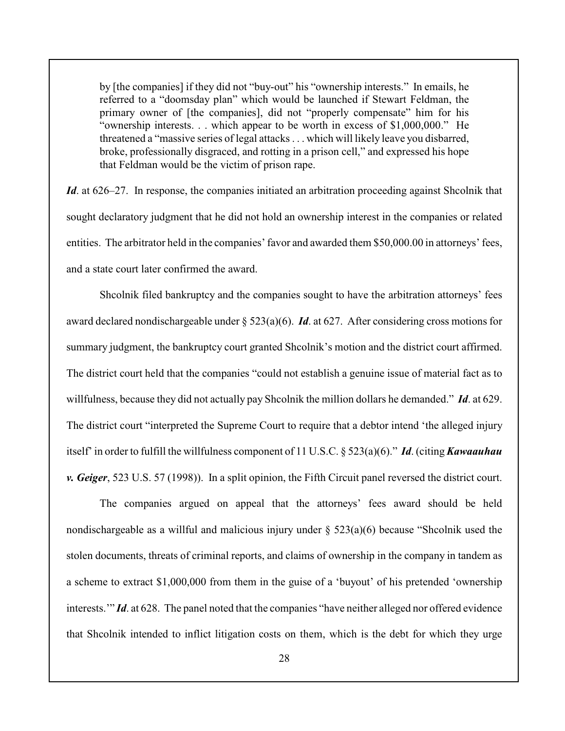by [the companies] if they did not "buy-out" his "ownership interests." In emails, he referred to a "doomsday plan" which would be launched if Stewart Feldman, the primary owner of [the companies], did not "properly compensate" him for his "ownership interests. . . which appear to be worth in excess of \$1,000,000." He threatened a "massive series of legal attacks . . . which will likely leave you disbarred, broke, professionally disgraced, and rotting in a prison cell," and expressed his hope that Feldman would be the victim of prison rape.

*Id*. at 626–27. In response, the companies initiated an arbitration proceeding against Shcolnik that sought declaratory judgment that he did not hold an ownership interest in the companies or related entities. The arbitrator held in the companies' favor and awarded them \$50,000.00 in attorneys' fees, and a state court later confirmed the award.

Shcolnik filed bankruptcy and the companies sought to have the arbitration attorneys' fees award declared nondischargeable under § 523(a)(6). *Id*. at 627. After considering cross motions for summary judgment, the bankruptcy court granted Shcolnik's motion and the district court affirmed. The district court held that the companies "could not establish a genuine issue of material fact as to willfulness, because they did not actually pay Shcolnik the million dollars he demanded." *Id*. at 629. The district court "interpreted the Supreme Court to require that a debtor intend 'the alleged injury itself' in order to fulfill the willfulness component of 11 U.S.C. § 523(a)(6)." *Id*. (citing *Kawaauhau v. Geiger*, 523 U.S. 57 (1998)). In a split opinion, the Fifth Circuit panel reversed the district court.

The companies argued on appeal that the attorneys' fees award should be held nondischargeable as a willful and malicious injury under  $\S$  523(a)(6) because "Shcolnik used the stolen documents, threats of criminal reports, and claims of ownership in the company in tandem as a scheme to extract \$1,000,000 from them in the guise of a 'buyout' of his pretended 'ownership interests.'" *Id*. at 628. The panel noted that the companies "have neither alleged nor offered evidence that Shcolnik intended to inflict litigation costs on them, which is the debt for which they urge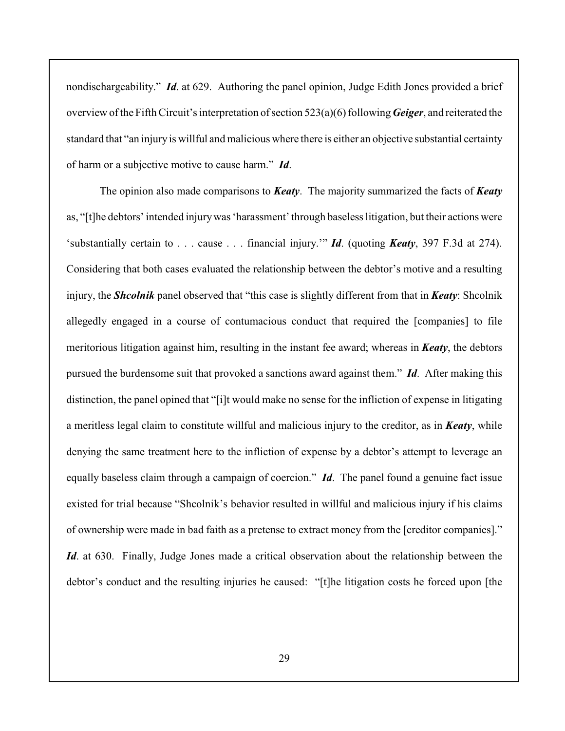nondischargeability." *Id*. at 629. Authoring the panel opinion, Judge Edith Jones provided a brief overview of the Fifth Circuit's interpretation of section 523(a)(6) following *Geiger*, and reiterated the standard that "an injury is willful and malicious where there is either an objective substantial certainty of harm or a subjective motive to cause harm." *Id*.

The opinion also made comparisons to *Keaty*. The majority summarized the facts of *Keaty* as, "[t]he debtors' intended injury was 'harassment' through baseless litigation, but their actions were 'substantially certain to . . . cause . . . financial injury.'" *Id*. (quoting *Keaty*, 397 F.3d at 274). Considering that both cases evaluated the relationship between the debtor's motive and a resulting injury, the *Shcolnik* panel observed that "this case is slightly different from that in *Keaty*: Shcolnik allegedly engaged in a course of contumacious conduct that required the [companies] to file meritorious litigation against him, resulting in the instant fee award; whereas in *Keaty*, the debtors pursued the burdensome suit that provoked a sanctions award against them." *Id*. After making this distinction, the panel opined that "[i]t would make no sense for the infliction of expense in litigating a meritless legal claim to constitute willful and malicious injury to the creditor, as in *Keaty*, while denying the same treatment here to the infliction of expense by a debtor's attempt to leverage an equally baseless claim through a campaign of coercion." *Id*. The panel found a genuine fact issue existed for trial because "Shcolnik's behavior resulted in willful and malicious injury if his claims of ownership were made in bad faith as a pretense to extract money from the [creditor companies]." *Id*. at 630. Finally, Judge Jones made a critical observation about the relationship between the debtor's conduct and the resulting injuries he caused: "[t]he litigation costs he forced upon [the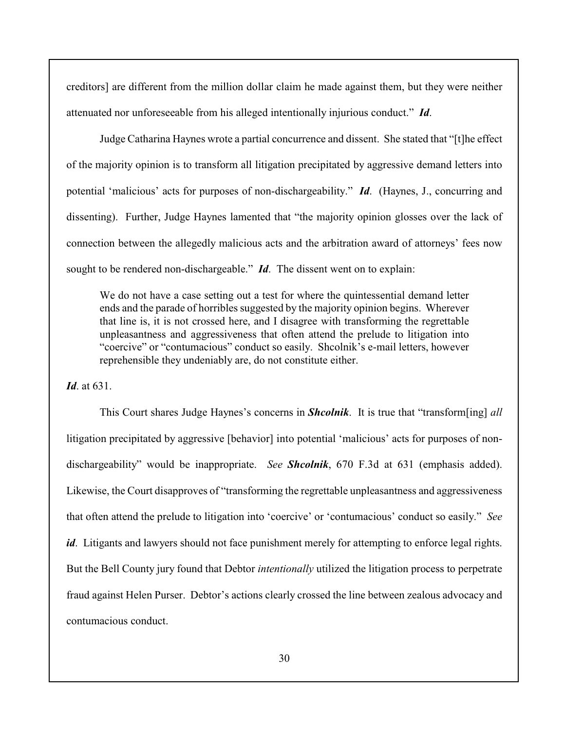creditors] are different from the million dollar claim he made against them, but they were neither attenuated nor unforeseeable from his alleged intentionally injurious conduct." *Id*.

Judge Catharina Haynes wrote a partial concurrence and dissent. She stated that "[t]he effect of the majority opinion is to transform all litigation precipitated by aggressive demand letters into potential 'malicious' acts for purposes of non-dischargeability." *Id*. (Haynes, J., concurring and dissenting). Further, Judge Haynes lamented that "the majority opinion glosses over the lack of connection between the allegedly malicious acts and the arbitration award of attorneys' fees now sought to be rendered non-dischargeable." *Id*. The dissent went on to explain:

We do not have a case setting out a test for where the quintessential demand letter ends and the parade of horribles suggested by the majority opinion begins. Wherever that line is, it is not crossed here, and I disagree with transforming the regrettable unpleasantness and aggressiveness that often attend the prelude to litigation into "coercive" or "contumacious" conduct so easily. Shcolnik's e-mail letters, however reprehensible they undeniably are, do not constitute either.

*Id*. at 631.

This Court shares Judge Haynes's concerns in *Shcolnik*. It is true that "transform[ing] *all* litigation precipitated by aggressive [behavior] into potential 'malicious' acts for purposes of nondischargeability" would be inappropriate. *See Shcolnik*, 670 F.3d at 631 (emphasis added). Likewise, the Court disapproves of "transforming the regrettable unpleasantness and aggressiveness that often attend the prelude to litigation into 'coercive' or 'contumacious' conduct so easily." *See id*. Litigants and lawyers should not face punishment merely for attempting to enforce legal rights. But the Bell County jury found that Debtor *intentionally* utilized the litigation process to perpetrate fraud against Helen Purser. Debtor's actions clearly crossed the line between zealous advocacy and contumacious conduct.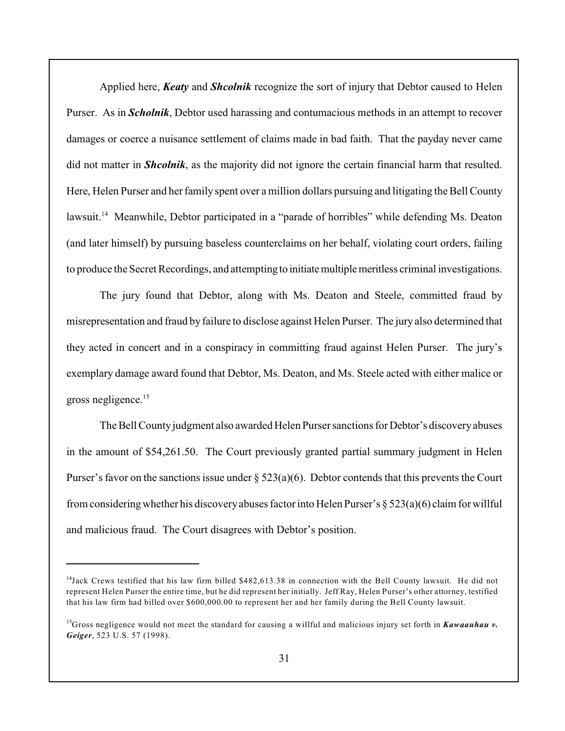Applied here, *Keaty* and *Shcolnik* recognize the sort of injury that Debtor caused to Helen Purser. As in *Scholnik*, Debtor used harassing and contumacious methods in an attempt to recover damages or coerce a nuisance settlement of claims made in bad faith. That the payday never came did not matter in *Shcolnik*, as the majority did not ignore the certain financial harm that resulted. Here, Helen Purser and her family spent over a million dollars pursuing and litigating the Bell County lawsuit.<sup>14</sup> Meanwhile, Debtor participated in a "parade of horribles" while defending Ms. Deaton (and later himself) by pursuing baseless counterclaims on her behalf, violating court orders, failing to produce the Secret Recordings, and attempting to initiate multiple meritless criminal investigations.

The jury found that Debtor, along with Ms. Deaton and Steele, committed fraud by misrepresentation and fraud by failure to disclose against Helen Purser. The jury also determined that they acted in concert and in a conspiracy in committing fraud against Helen Purser. The jury's exemplary damage award found that Debtor, Ms. Deaton, and Ms. Steele acted with either malice or gross negligence.<sup>15</sup>

The Bell County judgment also awarded Helen Purser sanctions for Debtor's discovery abuses in the amount of \$54,261.50. The Court previously granted partial summary judgment in Helen Purser's favor on the sanctions issue under  $\S 523(a)(6)$ . Debtor contends that this prevents the Court from considering whether his discovery abuses factor into Helen Purser's § 523(a)(6) claim for willful and malicious fraud. The Court disagrees with Debtor's position.

 $14$ Jack Crews testified that his law firm billed \$482,613.38 in connection with the Bell County lawsuit. He did not represent Helen Purser the entire time, but he did represent her initially. Jeff Ray, Helen Purser's other attorney, testified that his law firm had billed over \$600,000.00 to represent her and her family during the Bell County lawsuit.

<sup>&</sup>lt;sup>15</sup>Gross negligence would not meet the standard for causing a willful and malicious injury set forth in *Kawaauhau v*. *Geiger*, 523 U.S. 57 (1998).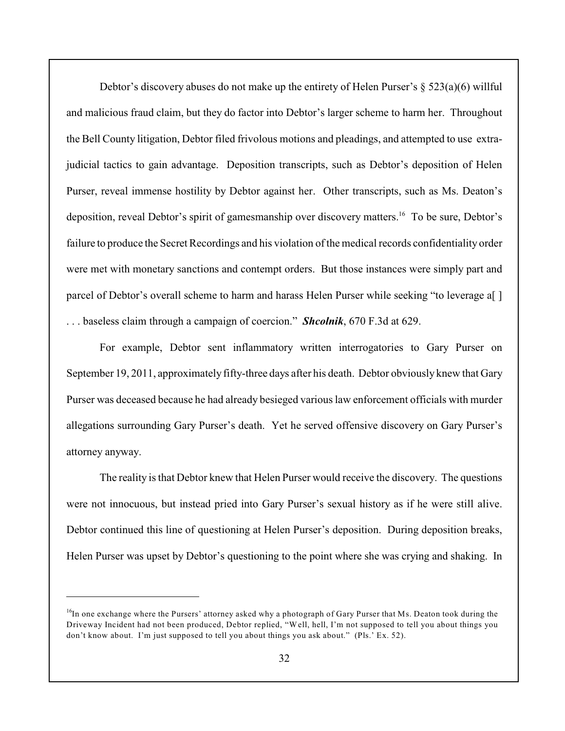Debtor's discovery abuses do not make up the entirety of Helen Purser's § 523(a)(6) willful and malicious fraud claim, but they do factor into Debtor's larger scheme to harm her. Throughout the Bell County litigation, Debtor filed frivolous motions and pleadings, and attempted to use extrajudicial tactics to gain advantage. Deposition transcripts, such as Debtor's deposition of Helen Purser, reveal immense hostility by Debtor against her. Other transcripts, such as Ms. Deaton's deposition, reveal Debtor's spirit of gamesmanship over discovery matters.<sup>16</sup> To be sure, Debtor's failure to produce the Secret Recordings and his violation of the medical records confidentiality order were met with monetary sanctions and contempt orders. But those instances were simply part and parcel of Debtor's overall scheme to harm and harass Helen Purser while seeking "to leverage a[ ] . . . baseless claim through a campaign of coercion." *Shcolnik*, 670 F.3d at 629.

For example, Debtor sent inflammatory written interrogatories to Gary Purser on September 19, 2011, approximately fifty-three days after his death. Debtor obviously knew that Gary Purser was deceased because he had already besieged various law enforcement officials with murder allegations surrounding Gary Purser's death. Yet he served offensive discovery on Gary Purser's attorney anyway.

The reality is that Debtor knew that Helen Purser would receive the discovery. The questions were not innocuous, but instead pried into Gary Purser's sexual history as if he were still alive. Debtor continued this line of questioning at Helen Purser's deposition. During deposition breaks, Helen Purser was upset by Debtor's questioning to the point where she was crying and shaking. In

<sup>&</sup>lt;sup>16</sup>In one exchange where the Pursers' attorney asked why a photograph of Gary Purser that Ms. Deaton took during the Driveway Incident had not been produced, Debtor replied, "Well, hell, I'm not supposed to tell you about things you don't know about. I'm just supposed to tell you about things you ask about." (Pls.' Ex. 52).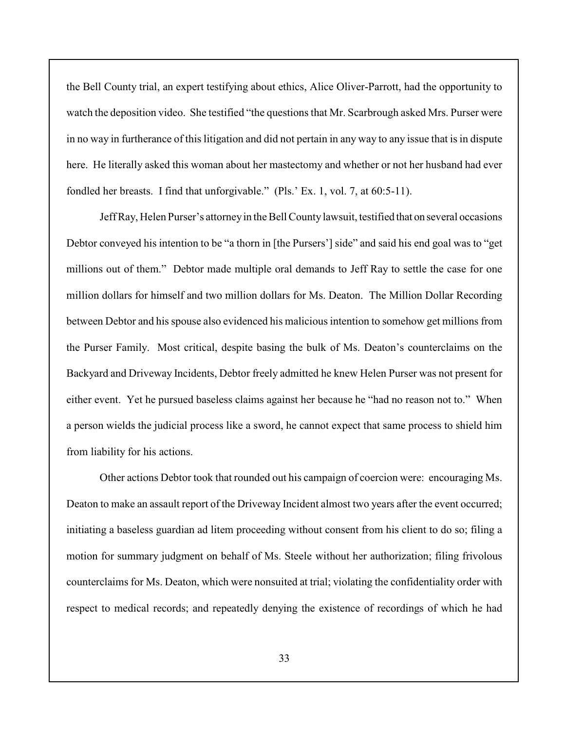the Bell County trial, an expert testifying about ethics, Alice Oliver-Parrott, had the opportunity to watch the deposition video. She testified "the questions that Mr. Scarbrough asked Mrs. Purser were in no way in furtherance of this litigation and did not pertain in any way to any issue that is in dispute here. He literally asked this woman about her mastectomy and whether or not her husband had ever fondled her breasts. I find that unforgivable." (Pls.' Ex. 1, vol. 7, at 60:5-11).

Jeff Ray, Helen Purser's attorney in the Bell County lawsuit, testified that on several occasions Debtor conveyed his intention to be "a thorn in [the Pursers'] side" and said his end goal was to "get millions out of them." Debtor made multiple oral demands to Jeff Ray to settle the case for one million dollars for himself and two million dollars for Ms. Deaton. The Million Dollar Recording between Debtor and his spouse also evidenced his malicious intention to somehow get millions from the Purser Family. Most critical, despite basing the bulk of Ms. Deaton's counterclaims on the Backyard and Driveway Incidents, Debtor freely admitted he knew Helen Purser was not present for either event. Yet he pursued baseless claims against her because he "had no reason not to." When a person wields the judicial process like a sword, he cannot expect that same process to shield him from liability for his actions.

Other actions Debtor took that rounded out his campaign of coercion were: encouraging Ms. Deaton to make an assault report of the Driveway Incident almost two years after the event occurred; initiating a baseless guardian ad litem proceeding without consent from his client to do so; filing a motion for summary judgment on behalf of Ms. Steele without her authorization; filing frivolous counterclaims for Ms. Deaton, which were nonsuited at trial; violating the confidentiality order with respect to medical records; and repeatedly denying the existence of recordings of which he had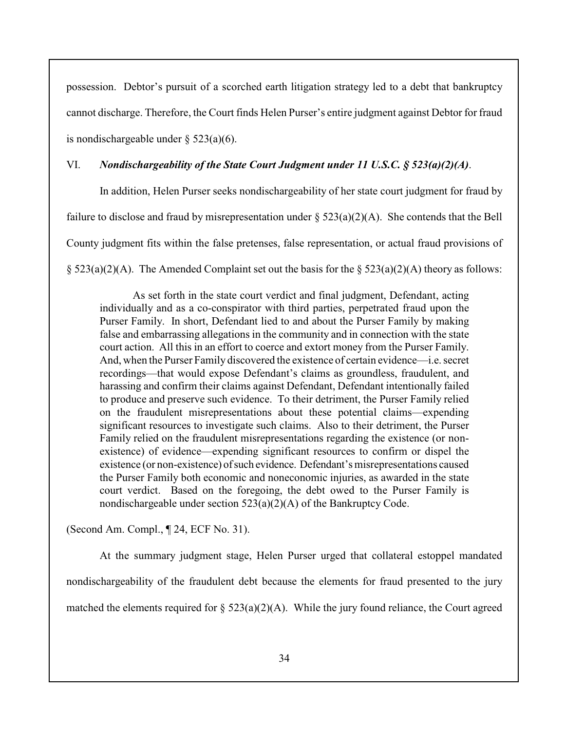possession. Debtor's pursuit of a scorched earth litigation strategy led to a debt that bankruptcy cannot discharge. Therefore, the Court finds Helen Purser's entire judgment against Debtor for fraud is nondischargeable under  $\S$  523(a)(6).

# VI. *Nondischargeability of the State Court Judgment under 11 U.S.C. § 523(a)(2)(A)*.

In addition, Helen Purser seeks nondischargeability of her state court judgment for fraud by failure to disclose and fraud by misrepresentation under  $\S 523(a)(2)(A)$ . She contends that the Bell County judgment fits within the false pretenses, false representation, or actual fraud provisions of  $\S$  523(a)(2)(A). The Amended Complaint set out the basis for the  $\S$  523(a)(2)(A) theory as follows:

As set forth in the state court verdict and final judgment, Defendant, acting individually and as a co-conspirator with third parties, perpetrated fraud upon the Purser Family. In short, Defendant lied to and about the Purser Family by making false and embarrassing allegations in the community and in connection with the state court action. All this in an effort to coerce and extort money from the Purser Family. And, when the Purser Family discovered the existence of certain evidence—i.e. secret recordings—that would expose Defendant's claims as groundless, fraudulent, and harassing and confirm their claims against Defendant, Defendant intentionally failed to produce and preserve such evidence. To their detriment, the Purser Family relied on the fraudulent misrepresentations about these potential claims—expending significant resources to investigate such claims. Also to their detriment, the Purser Family relied on the fraudulent misrepresentations regarding the existence (or nonexistence) of evidence—expending significant resources to confirm or dispel the existence (or non-existence) of such evidence. Defendant's misrepresentations caused the Purser Family both economic and noneconomic injuries, as awarded in the state court verdict. Based on the foregoing, the debt owed to the Purser Family is nondischargeable under section 523(a)(2)(A) of the Bankruptcy Code.

(Second Am. Compl., ¶ 24, ECF No. 31).

At the summary judgment stage, Helen Purser urged that collateral estoppel mandated nondischargeability of the fraudulent debt because the elements for fraud presented to the jury matched the elements required for  $\S$  523(a)(2)(A). While the jury found reliance, the Court agreed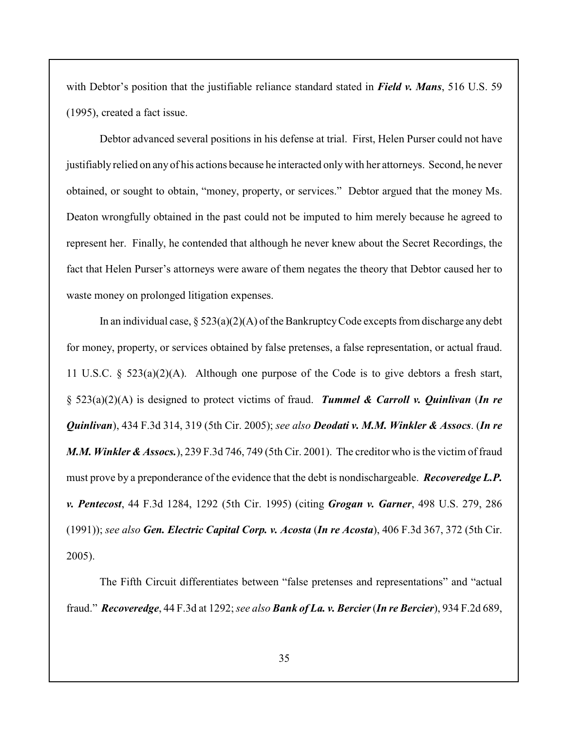with Debtor's position that the justifiable reliance standard stated in *Field v. Mans*, 516 U.S. 59 (1995), created a fact issue.

Debtor advanced several positions in his defense at trial. First, Helen Purser could not have justifiably relied on any of his actions because he interacted only with her attorneys. Second, he never obtained, or sought to obtain, "money, property, or services." Debtor argued that the money Ms. Deaton wrongfully obtained in the past could not be imputed to him merely because he agreed to represent her. Finally, he contended that although he never knew about the Secret Recordings, the fact that Helen Purser's attorneys were aware of them negates the theory that Debtor caused her to waste money on prolonged litigation expenses.

In an individual case,  $\S 523(a)(2)(A)$  of the Bankruptcy Code excepts from discharge any debt for money, property, or services obtained by false pretenses, a false representation, or actual fraud. 11 U.S.C. §  $523(a)(2)(A)$ . Although one purpose of the Code is to give debtors a fresh start, § 523(a)(2)(A) is designed to protect victims of fraud. *Tummel & Carroll v. Quinlivan* (*In re Quinlivan*), 434 F.3d 314, 319 (5th Cir. 2005); *see also Deodati v. M.M. Winkler & Assocs*. (*In re M.M. Winkler & Assocs.*), 239 F.3d 746, 749 (5th Cir. 2001). The creditor who is the victim of fraud must prove by a preponderance of the evidence that the debt is nondischargeable. *Recoveredge L.P. v. Pentecost*, 44 F.3d 1284, 1292 (5th Cir. 1995) (citing *Grogan v. Garner*, 498 U.S. 279, 286 (1991)); *see also Gen. Electric Capital Corp. v. Acosta* (*In re Acosta*), 406 F.3d 367, 372 (5th Cir. 2005).

The Fifth Circuit differentiates between "false pretenses and representations" and "actual fraud." *Recoveredge*, 44 F.3d at 1292; *see also Bank of La. v. Bercier* (*In re Bercier*), 934 F.2d 689,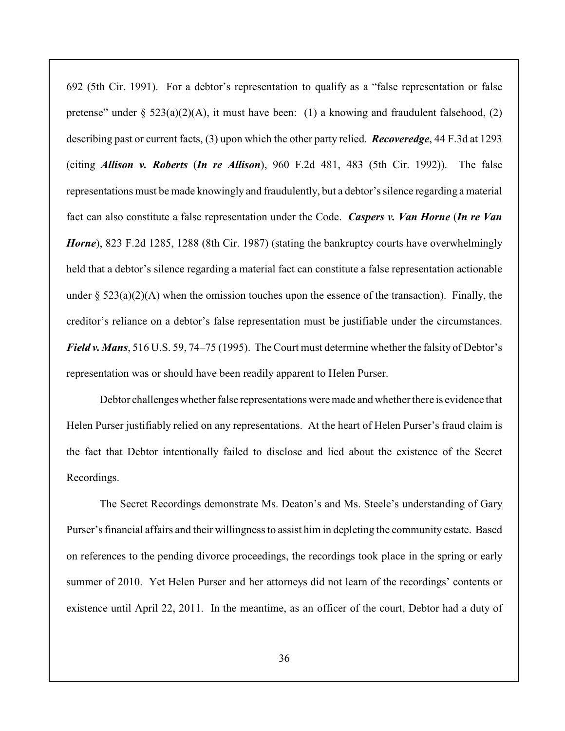692 (5th Cir. 1991). For a debtor's representation to qualify as a "false representation or false pretense" under  $\S 523(a)(2)(A)$ , it must have been: (1) a knowing and fraudulent falsehood, (2) describing past or current facts, (3) upon which the other party relied. *Recoveredge*, 44 F.3d at 1293 (citing *Allison v. Roberts* (*In re Allison*), 960 F.2d 481, 483 (5th Cir. 1992)). The false representations must be made knowingly and fraudulently, but a debtor's silence regarding a material fact can also constitute a false representation under the Code. *Caspers v. Van Horne* (*In re Van Horne*), 823 F.2d 1285, 1288 (8th Cir. 1987) (stating the bankruptcy courts have overwhelmingly held that a debtor's silence regarding a material fact can constitute a false representation actionable under  $\S 523(a)(2)(A)$  when the omission touches upon the essence of the transaction). Finally, the creditor's reliance on a debtor's false representation must be justifiable under the circumstances. *Field v. Mans*, 516 U.S. 59, 74–75 (1995). The Court must determine whether the falsity of Debtor's representation was or should have been readily apparent to Helen Purser.

Debtor challenges whether false representations were made and whether there is evidence that Helen Purser justifiably relied on any representations. At the heart of Helen Purser's fraud claim is the fact that Debtor intentionally failed to disclose and lied about the existence of the Secret Recordings.

The Secret Recordings demonstrate Ms. Deaton's and Ms. Steele's understanding of Gary Purser's financial affairs and their willingness to assist him in depleting the community estate. Based on references to the pending divorce proceedings, the recordings took place in the spring or early summer of 2010. Yet Helen Purser and her attorneys did not learn of the recordings' contents or existence until April 22, 2011. In the meantime, as an officer of the court, Debtor had a duty of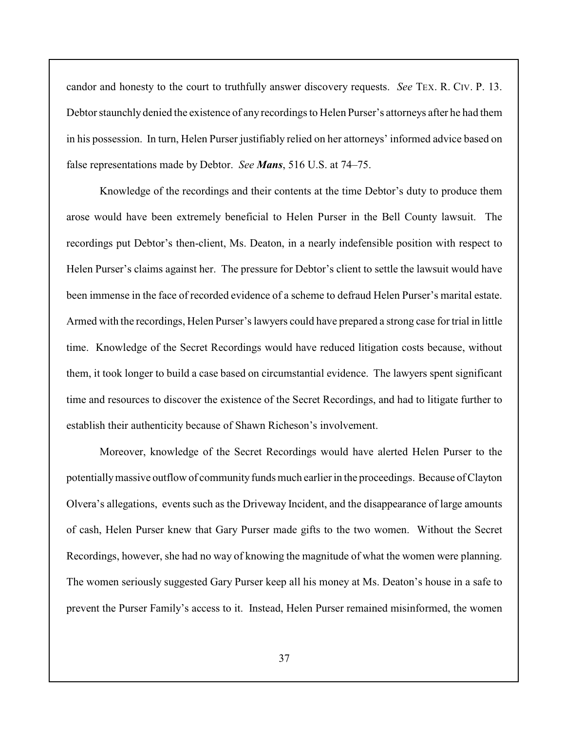candor and honesty to the court to truthfully answer discovery requests. *See* TEX. R. CIV. P. 13. Debtor staunchly denied the existence of any recordings to Helen Purser's attorneys after he had them in his possession. In turn, Helen Purser justifiably relied on her attorneys' informed advice based on false representations made by Debtor. *See Mans*, 516 U.S. at 74–75.

Knowledge of the recordings and their contents at the time Debtor's duty to produce them arose would have been extremely beneficial to Helen Purser in the Bell County lawsuit. The recordings put Debtor's then-client, Ms. Deaton, in a nearly indefensible position with respect to Helen Purser's claims against her. The pressure for Debtor's client to settle the lawsuit would have been immense in the face of recorded evidence of a scheme to defraud Helen Purser's marital estate. Armed with the recordings, Helen Purser's lawyers could have prepared a strong case for trial in little time. Knowledge of the Secret Recordings would have reduced litigation costs because, without them, it took longer to build a case based on circumstantial evidence. The lawyers spent significant time and resources to discover the existence of the Secret Recordings, and had to litigate further to establish their authenticity because of Shawn Richeson's involvement.

Moreover, knowledge of the Secret Recordings would have alerted Helen Purser to the potentially massive outflow of community funds much earlier in the proceedings. Because of Clayton Olvera's allegations, events such as the Driveway Incident, and the disappearance of large amounts of cash, Helen Purser knew that Gary Purser made gifts to the two women. Without the Secret Recordings, however, she had no way of knowing the magnitude of what the women were planning. The women seriously suggested Gary Purser keep all his money at Ms. Deaton's house in a safe to prevent the Purser Family's access to it. Instead, Helen Purser remained misinformed, the women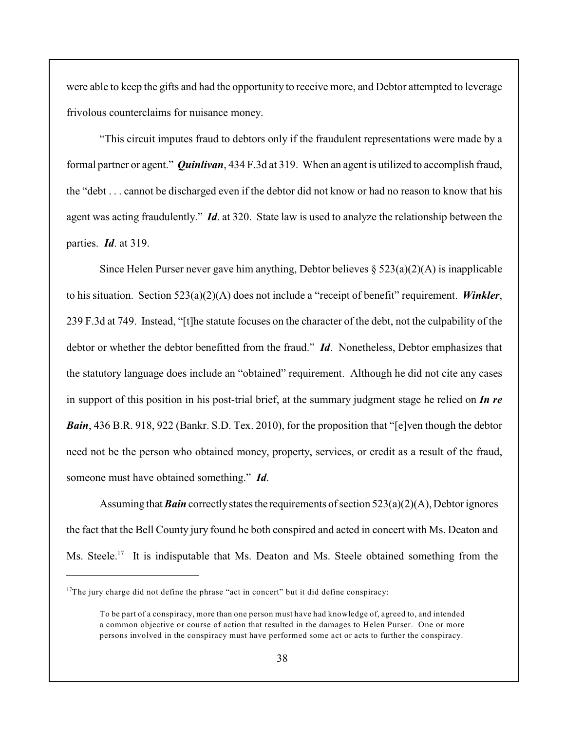were able to keep the gifts and had the opportunity to receive more, and Debtor attempted to leverage frivolous counterclaims for nuisance money.

"This circuit imputes fraud to debtors only if the fraudulent representations were made by a formal partner or agent." *Quinlivan*, 434 F.3d at 319. When an agent is utilized to accomplish fraud, the "debt . . . cannot be discharged even if the debtor did not know or had no reason to know that his agent was acting fraudulently." *Id*. at 320. State law is used to analyze the relationship between the parties. *Id*. at 319.

Since Helen Purser never gave him anything, Debtor believes  $\S 523(a)(2)(A)$  is inapplicable to his situation. Section 523(a)(2)(A) does not include a "receipt of benefit" requirement. *Winkler*, 239 F.3d at 749. Instead, "[t]he statute focuses on the character of the debt, not the culpability of the debtor or whether the debtor benefitted from the fraud." *Id*. Nonetheless, Debtor emphasizes that the statutory language does include an "obtained" requirement. Although he did not cite any cases in support of this position in his post-trial brief, at the summary judgment stage he relied on *In re Bain*, 436 B.R. 918, 922 (Bankr. S.D. Tex. 2010), for the proposition that "[e]ven though the debtor need not be the person who obtained money, property, services, or credit as a result of the fraud, someone must have obtained something." *Id*.

Assuming that *Bain* correctly states the requirements of section  $523(a)(2)(A)$ , Debtor ignores the fact that the Bell County jury found he both conspired and acted in concert with Ms. Deaton and Ms. Steele.<sup>17</sup> It is indisputable that Ms. Deaton and Ms. Steele obtained something from the

 $17$ The jury charge did not define the phrase "act in concert" but it did define conspiracy:

To be part of a conspiracy, more than one person must have had knowledge of, agreed to, and intended a common objective or course of action that resulted in the damages to Helen Purser. One or more persons involved in the conspiracy must have performed some act or acts to further the conspiracy.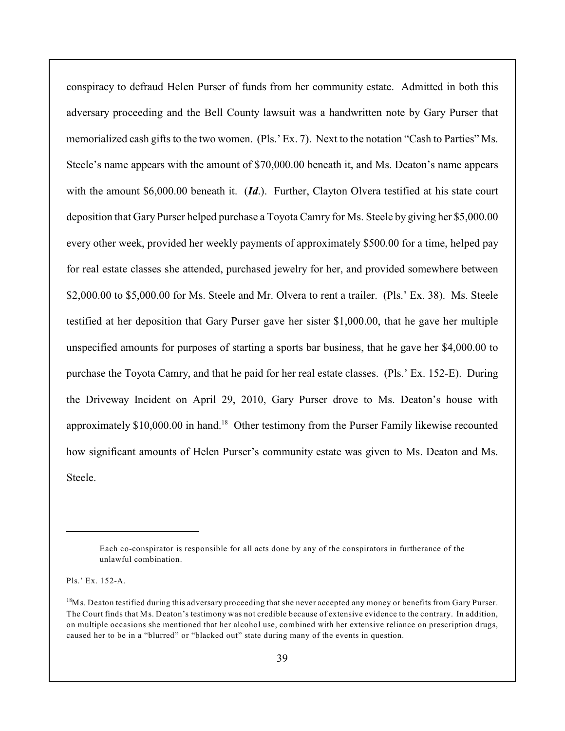conspiracy to defraud Helen Purser of funds from her community estate. Admitted in both this adversary proceeding and the Bell County lawsuit was a handwritten note by Gary Purser that memorialized cash gifts to the two women. (Pls.' Ex. 7). Next to the notation "Cash to Parties" Ms. Steele's name appears with the amount of \$70,000.00 beneath it, and Ms. Deaton's name appears with the amount \$6,000.00 beneath it. (*Id*.). Further, Clayton Olvera testified at his state court deposition that Gary Purser helped purchase a Toyota Camry for Ms. Steele by giving her \$5,000.00 every other week, provided her weekly payments of approximately \$500.00 for a time, helped pay for real estate classes she attended, purchased jewelry for her, and provided somewhere between \$2,000.00 to \$5,000.00 for Ms. Steele and Mr. Olvera to rent a trailer. (Pls.' Ex. 38). Ms. Steele testified at her deposition that Gary Purser gave her sister \$1,000.00, that he gave her multiple unspecified amounts for purposes of starting a sports bar business, that he gave her \$4,000.00 to purchase the Toyota Camry, and that he paid for her real estate classes. (Pls.' Ex. 152-E). During the Driveway Incident on April 29, 2010, Gary Purser drove to Ms. Deaton's house with approximately  $$10,000.00$  in hand.<sup>18</sup> Other testimony from the Purser Family likewise recounted how significant amounts of Helen Purser's community estate was given to Ms. Deaton and Ms. Steele.

Pls.' Ex. 152-A.

Each co-conspirator is responsible for all acts done by any of the conspirators in furtherance of the unlawful combination.

<sup>&</sup>lt;sup>18</sup>Ms. Deaton testified during this adversary proceeding that she never accepted any money or benefits from Gary Purser. The Court finds that Ms. Deaton's testimony was not credible because of extensive evidence to the contrary. In addition, on multiple occasions she mentioned that her alcohol use, combined with her extensive reliance on prescription drugs, caused her to be in a "blurred" or "blacked out" state during many of the events in question.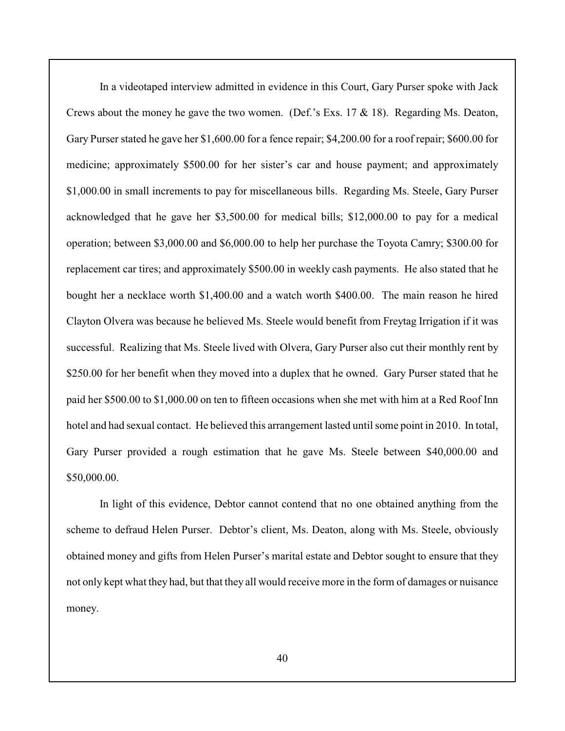In a videotaped interview admitted in evidence in this Court, Gary Purser spoke with Jack Crews about the money he gave the two women. (Def.'s Exs.  $17 \& 18$ ). Regarding Ms. Deaton, Gary Purser stated he gave her \$1,600.00 for a fence repair; \$4,200.00 for a roof repair; \$600.00 for medicine; approximately \$500.00 for her sister's car and house payment; and approximately \$1,000.00 in small increments to pay for miscellaneous bills. Regarding Ms. Steele, Gary Purser acknowledged that he gave her \$3,500.00 for medical bills; \$12,000.00 to pay for a medical operation; between \$3,000.00 and \$6,000.00 to help her purchase the Toyota Camry; \$300.00 for replacement car tires; and approximately \$500.00 in weekly cash payments. He also stated that he bought her a necklace worth \$1,400.00 and a watch worth \$400.00. The main reason he hired Clayton Olvera was because he believed Ms. Steele would benefit from Freytag Irrigation if it was successful. Realizing that Ms. Steele lived with Olvera, Gary Purser also cut their monthly rent by \$250.00 for her benefit when they moved into a duplex that he owned. Gary Purser stated that he paid her \$500.00 to \$1,000.00 on ten to fifteen occasions when she met with him at a Red Roof Inn hotel and had sexual contact. He believed this arrangement lasted until some point in 2010. In total, Gary Purser provided a rough estimation that he gave Ms. Steele between \$40,000.00 and \$50,000.00.

In light of this evidence, Debtor cannot contend that no one obtained anything from the scheme to defraud Helen Purser. Debtor's client, Ms. Deaton, along with Ms. Steele, obviously obtained money and gifts from Helen Purser's marital estate and Debtor sought to ensure that they not only kept what they had, but that they all would receive more in the form of damages or nuisance money.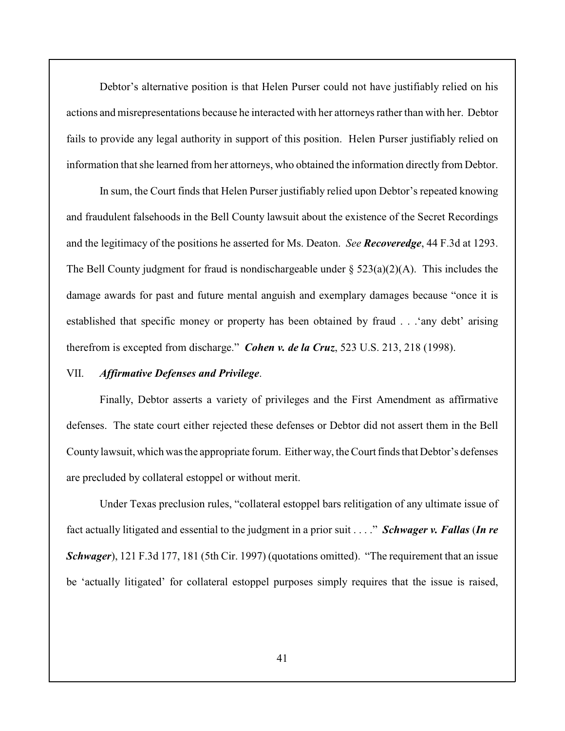Debtor's alternative position is that Helen Purser could not have justifiably relied on his actions and misrepresentations because he interacted with her attorneys rather than with her. Debtor fails to provide any legal authority in support of this position. Helen Purser justifiably relied on information that she learned from her attorneys, who obtained the information directly from Debtor.

In sum, the Court finds that Helen Purser justifiably relied upon Debtor's repeated knowing and fraudulent falsehoods in the Bell County lawsuit about the existence of the Secret Recordings and the legitimacy of the positions he asserted for Ms. Deaton. *See Recoveredge*, 44 F.3d at 1293. The Bell County judgment for fraud is nondischargeable under  $\S$  523(a)(2)(A). This includes the damage awards for past and future mental anguish and exemplary damages because "once it is established that specific money or property has been obtained by fraud . . .'any debt' arising therefrom is excepted from discharge." *Cohen v. de la Cruz*, 523 U.S. 213, 218 (1998).

### VII. *Affirmative Defenses and Privilege*.

Finally, Debtor asserts a variety of privileges and the First Amendment as affirmative defenses. The state court either rejected these defenses or Debtor did not assert them in the Bell County lawsuit, which was the appropriate forum. Either way, the Court finds that Debtor's defenses are precluded by collateral estoppel or without merit.

Under Texas preclusion rules, "collateral estoppel bars relitigation of any ultimate issue of fact actually litigated and essential to the judgment in a prior suit . . . ." *Schwager v. Fallas* (*In re Schwager*), 121 F.3d 177, 181 (5th Cir. 1997) (quotations omitted). "The requirement that an issue be 'actually litigated' for collateral estoppel purposes simply requires that the issue is raised,